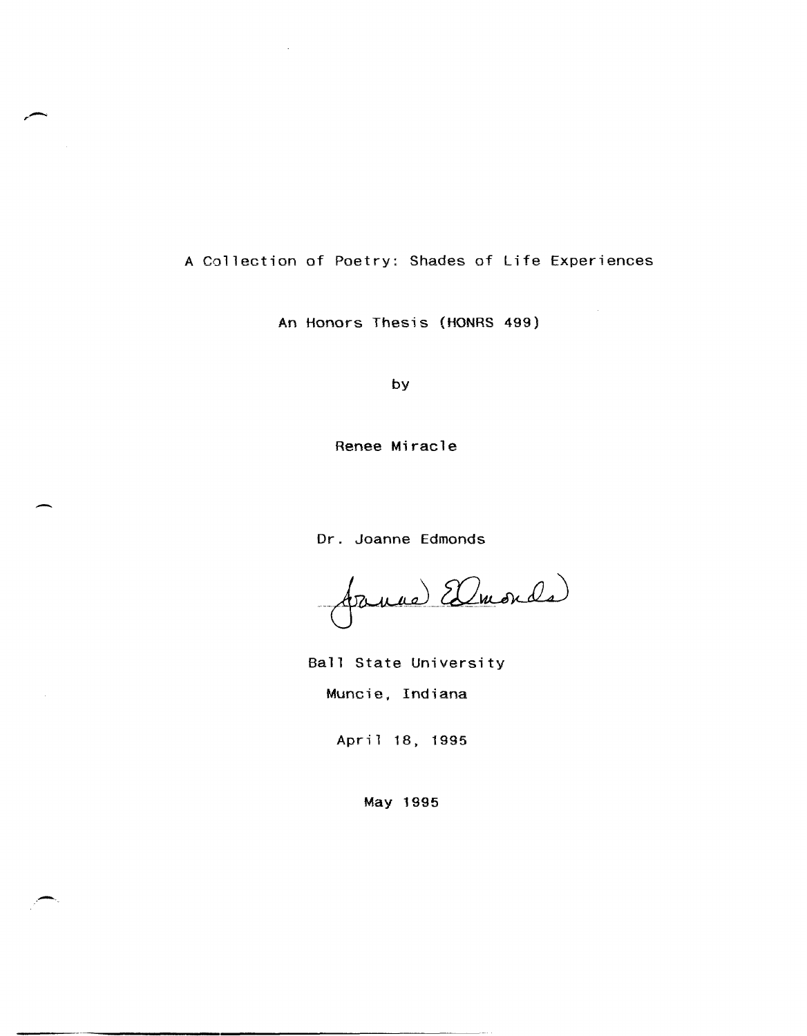# A Collection of Poetry: Shades of Life Experiences

**,-**

-

An Honors Thesis (HONRS 499)

by

Renee Miracle

Dr. Joanne Edmonds

Januel Elmonde

Ball State University Muncie, Indiana

April 18, 1995

May 1995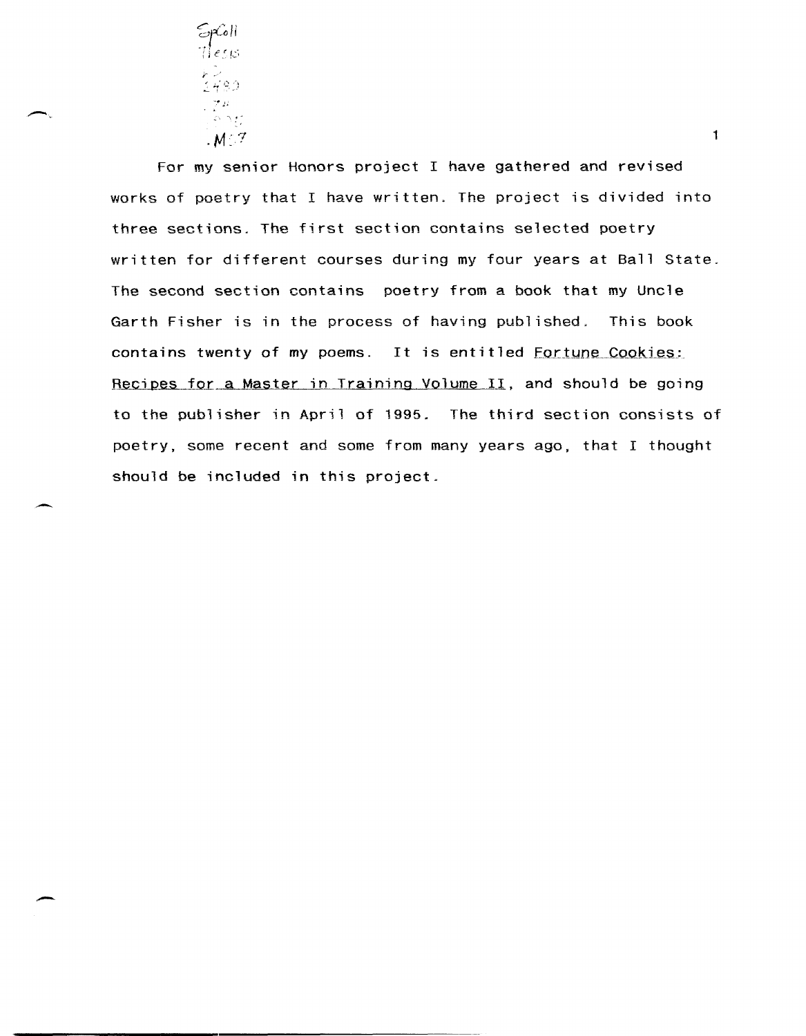

 $\overline{\phantom{0}}$ 

--

-

For my senior Honors project I have gathered and revised works of poetry that I have written. The project is divided into three sections. The first section contains selected poetry written for different courses during my four years at Ball State. The second section contains poetry from a book that my Uncle Garth Fisher is in the process of having published. This book contains twenty of my poems. It is entitled Fortune Cookies: Recipes for a Master in Training Volume II, and should be going to the publisher in April of 1995. The third section consists of poetry, some recent and some from many years ago, that I thought should be included in this project.

1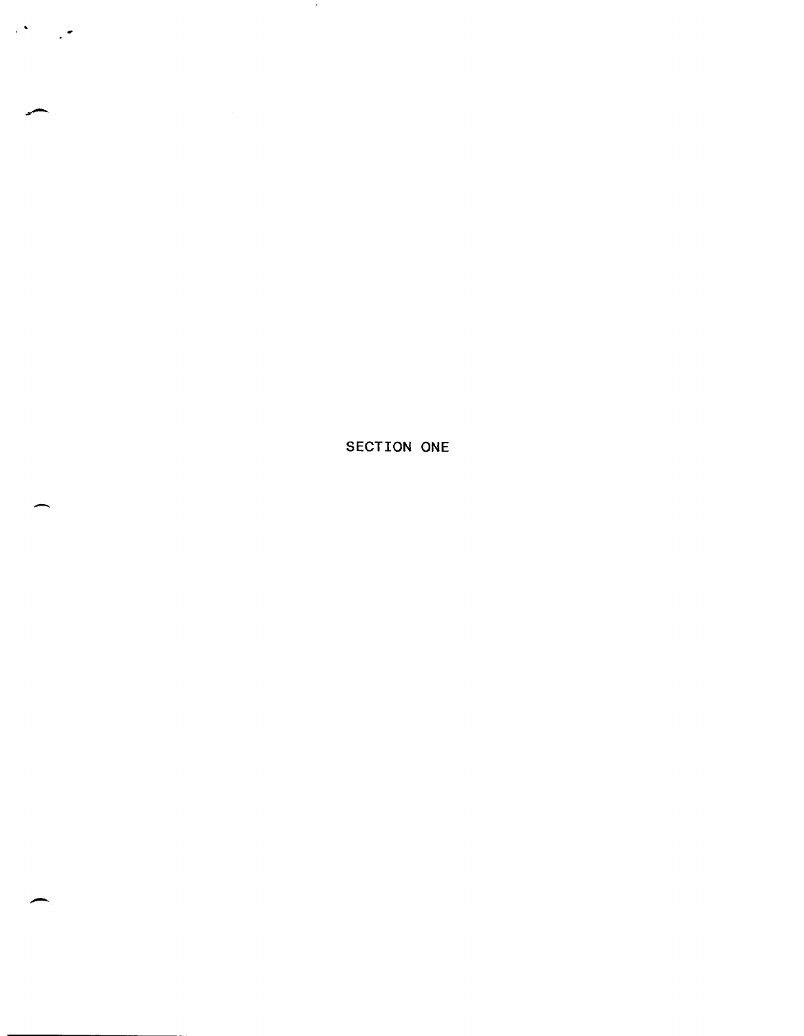SECTION ONE

 $\sim$ 

-

 $\mathcal{L}^{\infty}$  .

 $\mathcal{L}$ 

-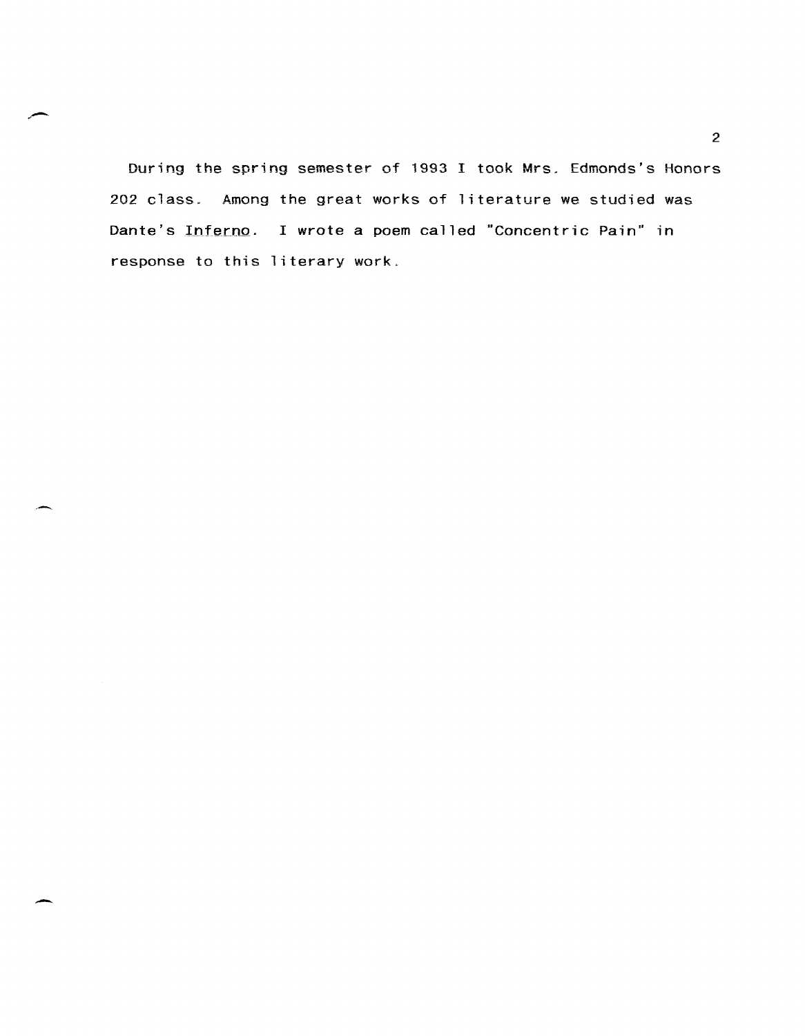During the spring semester of 1993 I took Mrs, Edmonds's Honors 202 class. Among the great works of literature we studied was Dante's Inferno. I wrote a poem called "Concentric Pain" in response to this literary work.

2

-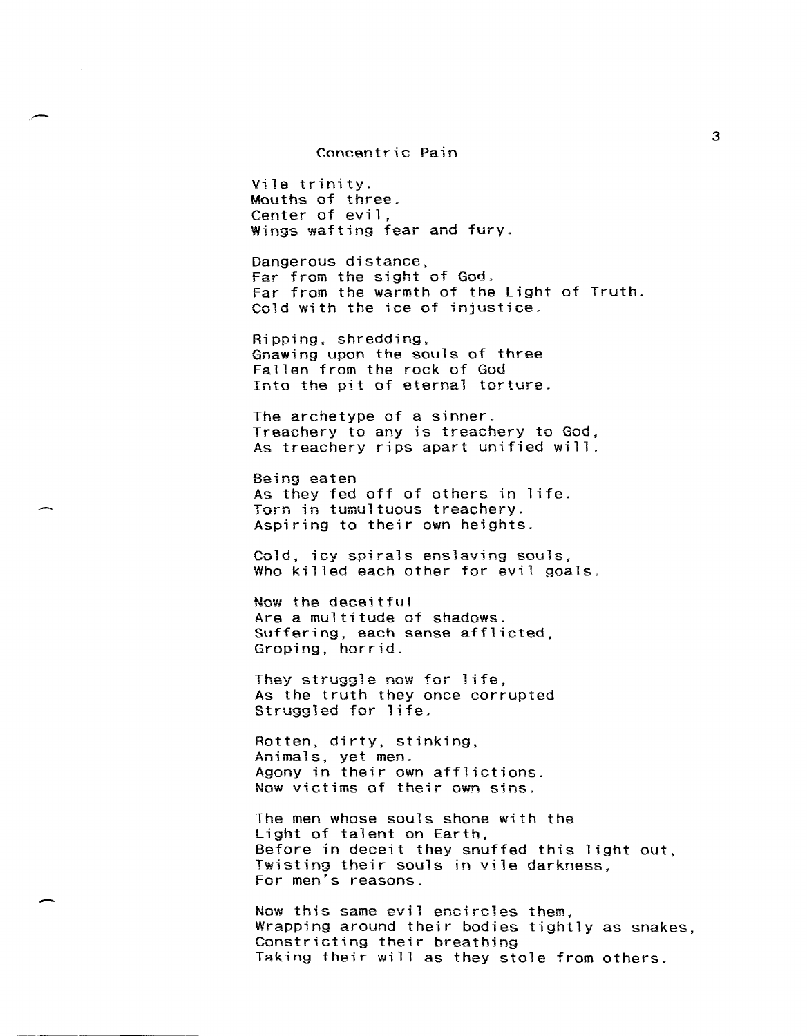#### Concentric Pain

Vile trinity. Mouths of three. Center of evil, Wings wafting fear and fury,

Dangerous distance, Far from the sight of God, Far from the warmth of the Light of Truth. Cold with the ice of injustice,

Ripping, shredding, Gnawing upon the souls of three Fallen from the rock of God Into the pit of eternal torture,

The archetype of a sinner. Treachery to any is treachery to God, As treachery rips apart unified will.

Being eaten As they fed off of others in life. Torn in tumultuous treachery, Aspiring to their own heights.

Cold, icy spirals enslaving souls, Who killed each other for evil goals.

Now the deceitful Are a multitude of shadows. Suffering, each sense afflicted, Groping, horrid.

They struggle now for life, As the truth they once corrupted Struggled for life,

Rotten, dirty, stinking, Animals, yet men. Agony in their own afflictions. Now victims of their own sins.

The men whose souls shone with the Light of talent on Earth, Before in deceit they snuffed this light out, Twisting their souls in vile darkness, For men's reasons.

Now this same evil encircles them, Wrapping around their bodies tightly as snakes, Constricting their breathing Taking their will as they stole from others.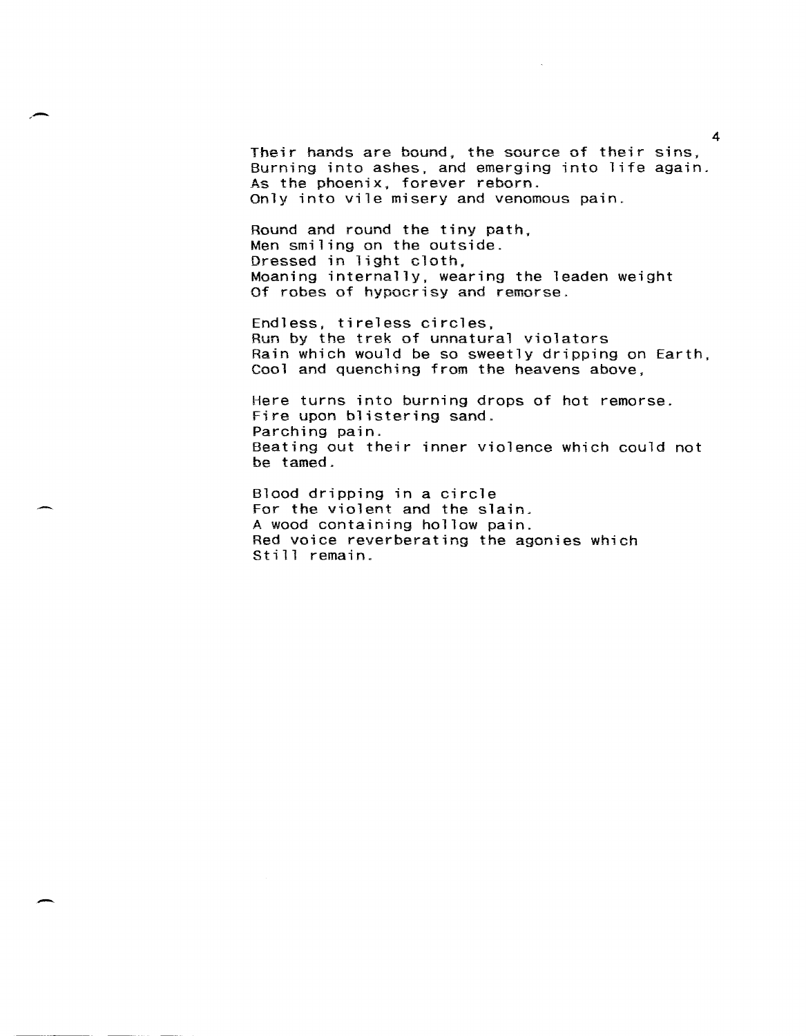Their hands are bound. the source of their sins. Burning into ashes, and emerging into life again. As the phoenix, forever reborn. Only into vile misery and venomous pain.

,-

-

Round and round the tiny path. Men smiling on the outside. Dressed in light cloth. Moaning internally, wearing the leaden weight Of robes of hypocrisy and remorse.

Endless, tireless circles, Run by the trek of unnatural violators Rain which would be so sweetly dripping on Earth, Cool and quenching from the heavens above.

Here turns into burning drops of hot remorse. Fire upon blistering sand. Parching pain. Beating out their inner violence which could not be tamed.

Blood dripping in a circle For the violent and the slain. A wood containing hollow pain. Red voice reverberating the agonies which Still remain.

4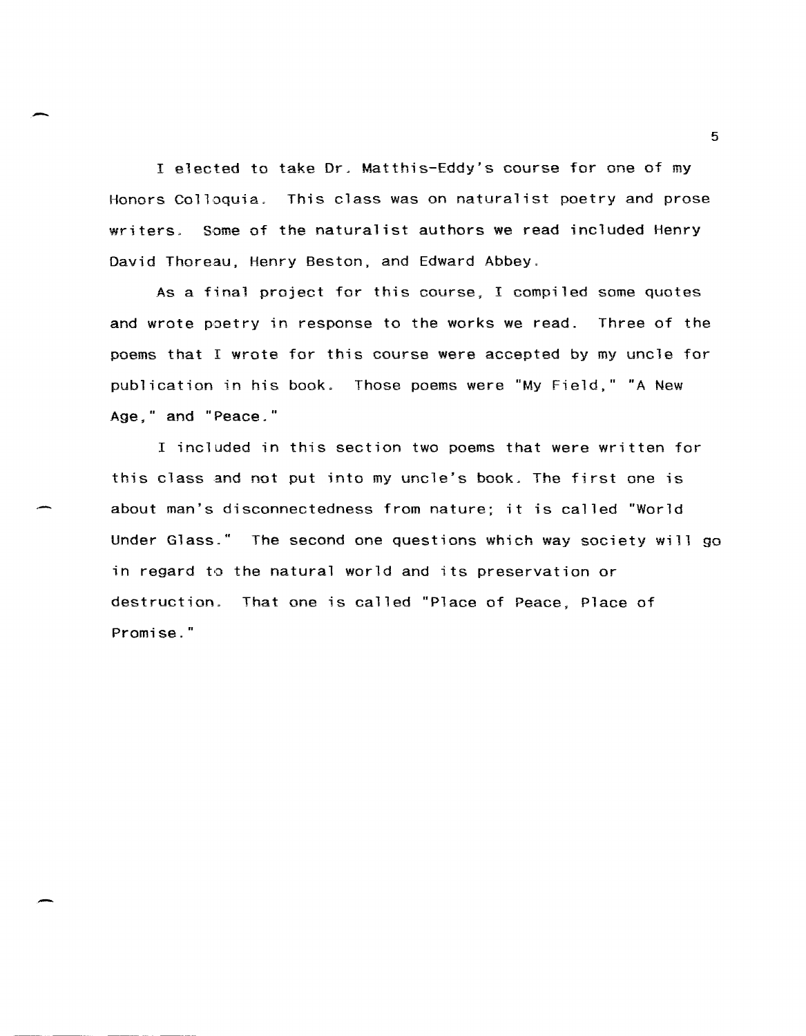I elected to take Or. Matthis-Eddy's course for one of my Honors Colloquia. This class was on naturalist poetry and prose writers. Some of the naturalist authors we read included Henry David Thoreau, Henry Beston, and Edward Abbey.

As a final project for this course. I compiled some quotes and wrote poetry in response to the works we read. Three of the poems that I wrote for this course were accepted by my uncle for publication in his book. Those poems were "My Field," "A New Age." and "Peace."

I included in this section two poems that were written for this class and not put into my uncle's book. The first one is about man's disconnectedness from nature; it is called "World Under Glass." The second one questions which way society will go in regard to the natural world and its preservation or destruction. That one is called "Place of Peace, Place of Promise."

5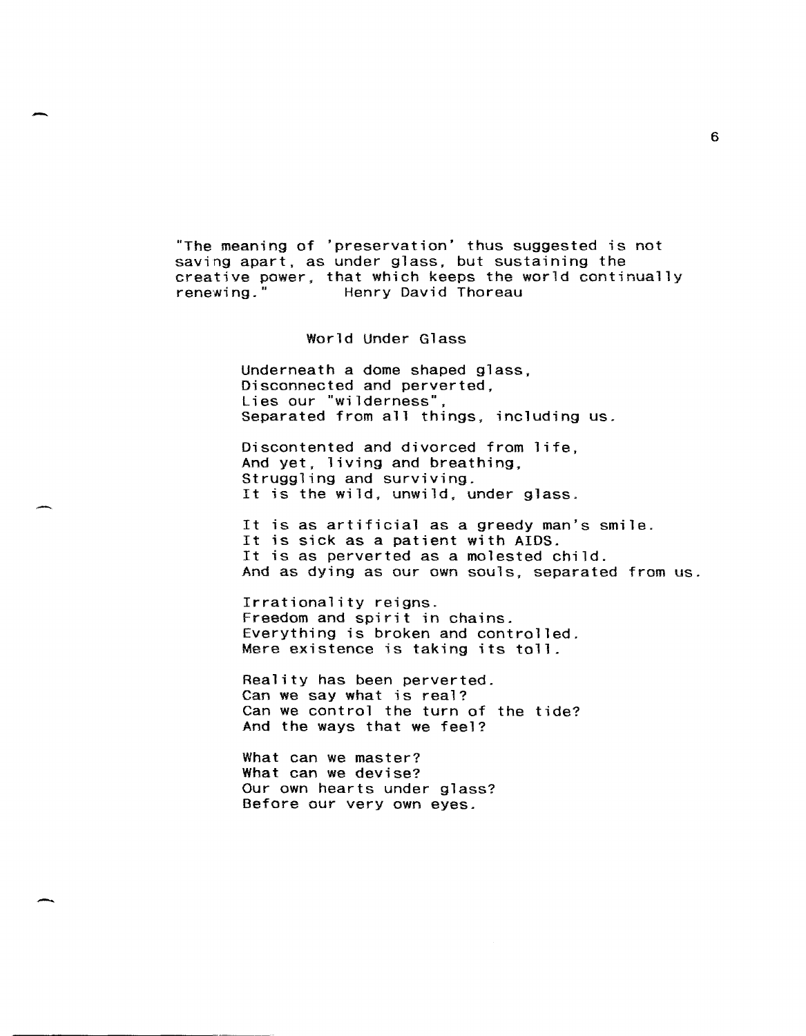"The meaning of 'preservation' thus suggested is not saving apart, as under glass. but sustaining the creative power, that which keeps the world continually renewing." Henry David Thoreau Henry David Thoreau

World Under Glass

Underneath a dome shaped glass, Disconnected and perverted, Lies our "wilderness". Separated from all things, including us.

Discontented and divorced from life, And yet, living and breathing, Struggling and surviving. It is the wild, unwild. under glass.

It is as artificial as a greedy man's smile. It is sick as a patient with AIDS. It is as perverted as a molested child. And as dying as our own souls, separated from us.

Irrationality reigns. Freedom and spirit in chains. Everything is broken and controlled. Mere existence is taking its toll.

Reality has been perverted. Can we say what is real? Can we control the turn of the tide? And the ways that we feel?

What can we master? What can we devise? Our own hearts under glass? Before our very own eyes.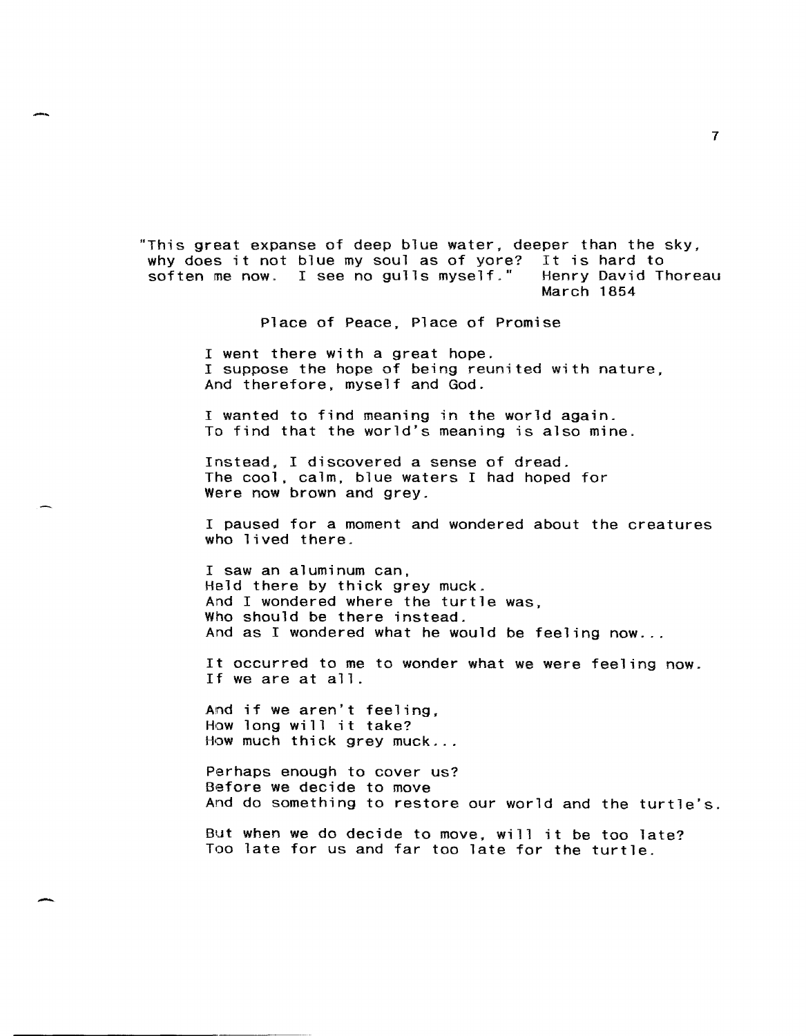"This great expanse of deep blue water, deeper than the sky, why does it not blue my soul as of yore? It is hard to<br>soften me now. I see no gulls myself." Henry David Thoreau soften me now. I see no gulls myself." March 1854

Place of Peace, Place of Promise

I went there with a great hope. I suppose the hope of being reunited with nature, And therefore, myself and God.

I wanted to find meaning in the world again. To find that the world's meaning is also mine.

Instead. I discovered a sense of dread. The cool, calm, blue waters I had hoped for Were now brown and grey.

I paused for a moment and wondered about the creatures who lived there.

I saw an aluminum can, Held there by thick grey muck. And I wondered where the turtle was, Who should be there instead. And as I wondered what he would be feeling now...

It occurred to me to wonder what we were feeling now. If we are at all.

And if we aren't feeling, How long will it take? How much thick grey muck ...

Perhaps enough to cover us? Before we decide to move And do something to restore our world and the turtle's.

But when we do decide to move. will it be too late? Too late for us and far too late for the turtle.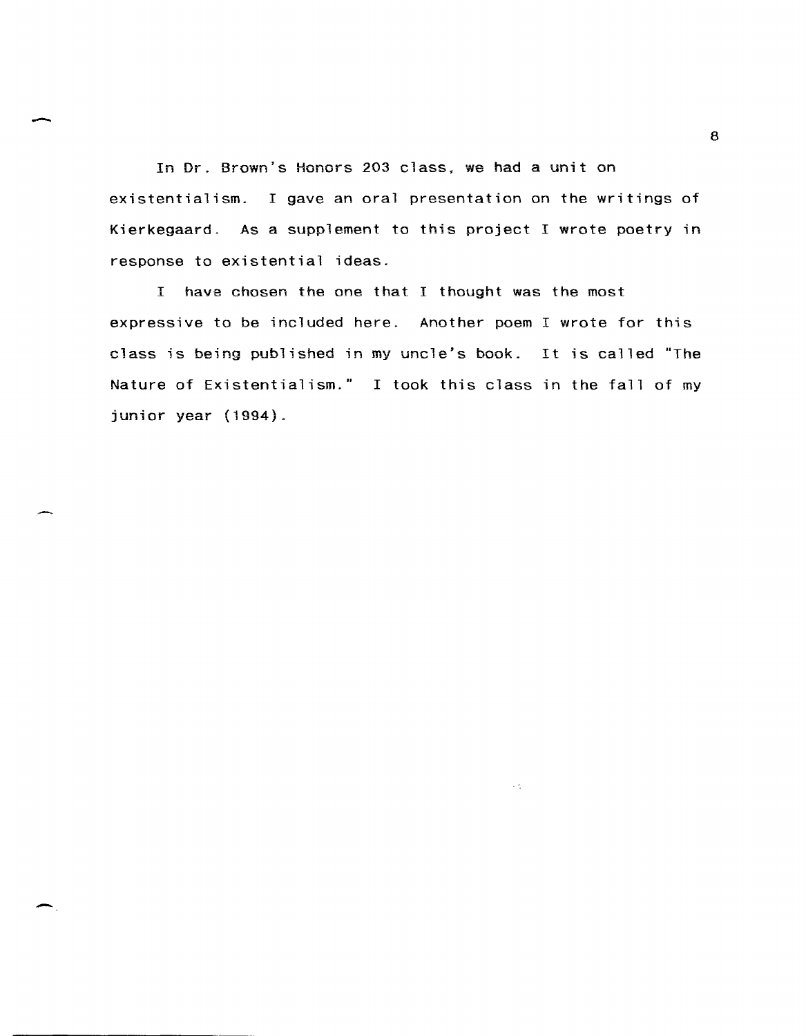In Dr. Brown's Honors 203 class, we had a unit on existentialism. I gave an oral presentation on the writings of Kierkegaard. As a supplement to this project I wrote poetry in response to existential ideas.

I hays chosen the one that I thought was the most expressive to be included here. Another poem I wrote for this class is being published in my uncle's book. It is called "The Nature of Existentialism." I took this class in the fall of my junior year (1994).

 $\epsilon \lesssim$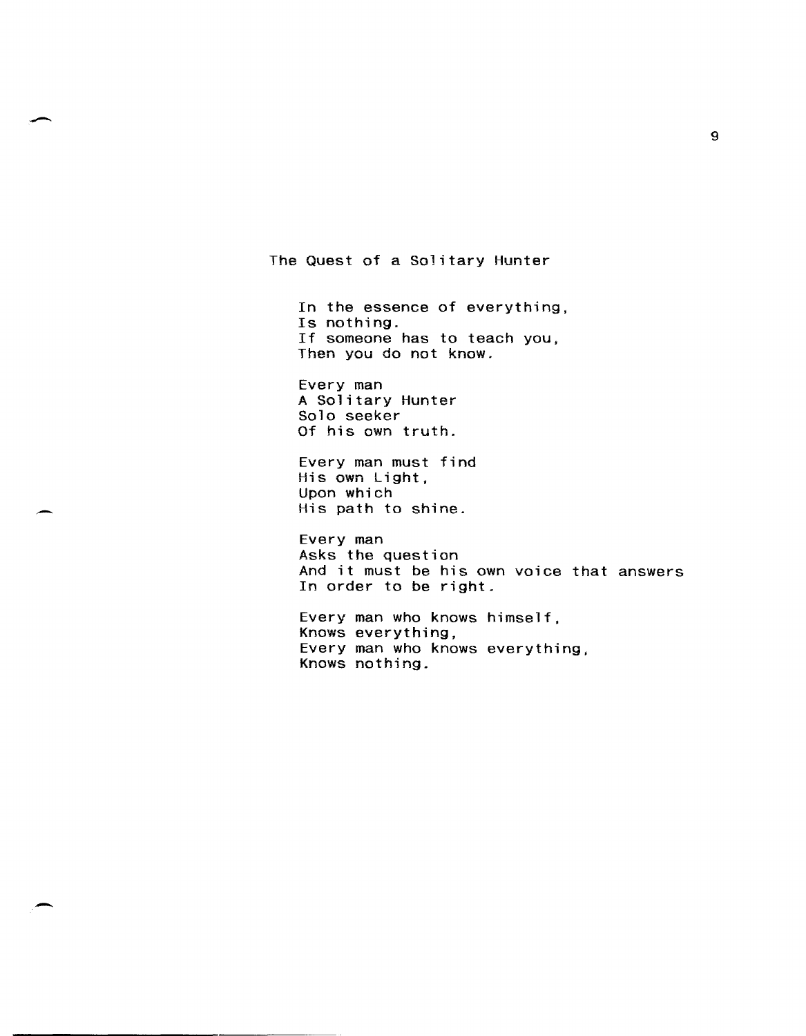The Quest of a Solitary Hunter

In the essence of everything, Is nothing. If someone has to teach you, Then you do not know.

Every man A Solitary Hunter Solo seeker Of his own truth.

Every man must find His own Light, Upon which His path to shine.

-

-

Every man Asks the question And it must be his own voice that answers In order to be right.

Every man who knows himself, Knows everything, Every man who knows everything, Knows nothing.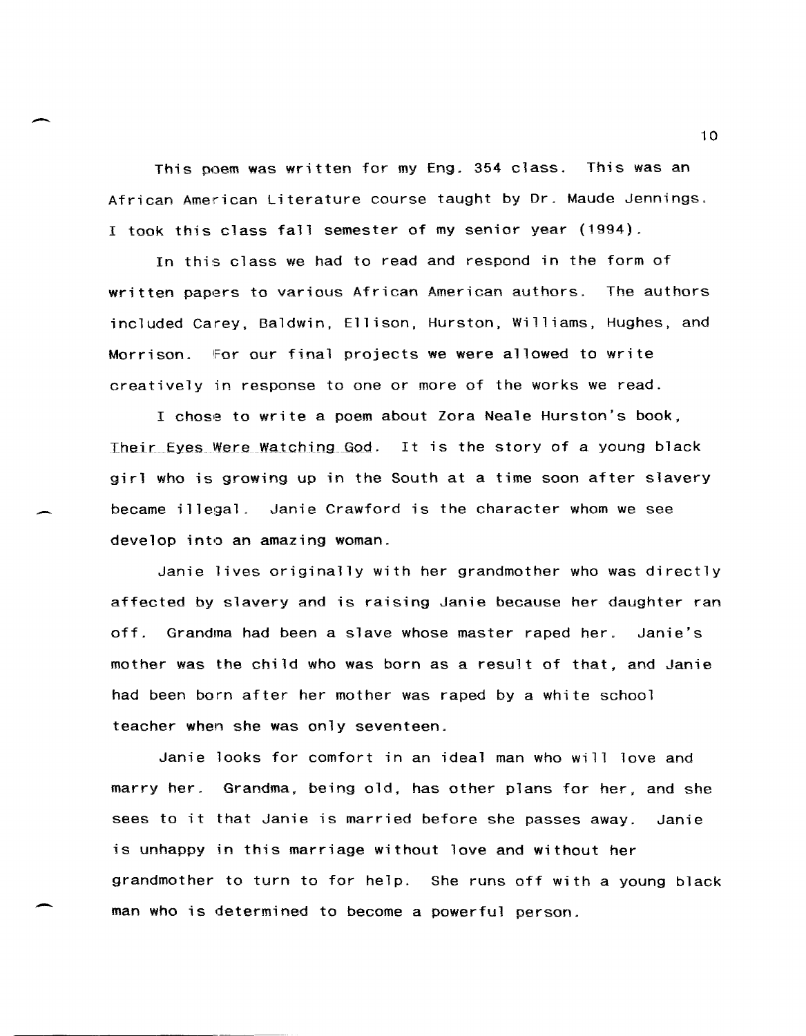This poem was written for my Eng. 354 class. This was an African American Literature course taught by Dr. Maude Jennings. I took this class fall semester of my senior year (1994).

 $\overline{\phantom{0}}$ 

-

In this class we had to read and respond in the form of written papers to various African American authors. The authors included Carey, Baldwin, Ellison, Hurston, Williams, Hughes, and Morrison. for our final projects we were allowed to write creatively in response to one or more of the works we read.

I chose to write a poem about Zora Neale Hurston's book, Their Eyes Were Watching God. It is the story of a young black girl who is growing up in the South at a time soon after slavery became illegal\_ Janie Crawford is the character whom we see develop into an amazing woman.

Janie lives originally with her grandmother who was directly affected by slavery and is raising Janie because her daughter ran off. Grandma had been a slave whose master raped her. Janie's mother was the child who was born as a result of that, and Janie had been born after her mother was raped by a white school teacher when she was only seventeen.

Janie looks for comfort in an ideal man who will love and marry her. Grandma, being old, has other plans for her, and she sees to it that Janie is married before she passes away. Janie is unhappy in this marriage without love and without her grandmother to turn to for help. She runs off with a young black man who is determined to become a powerful person.

10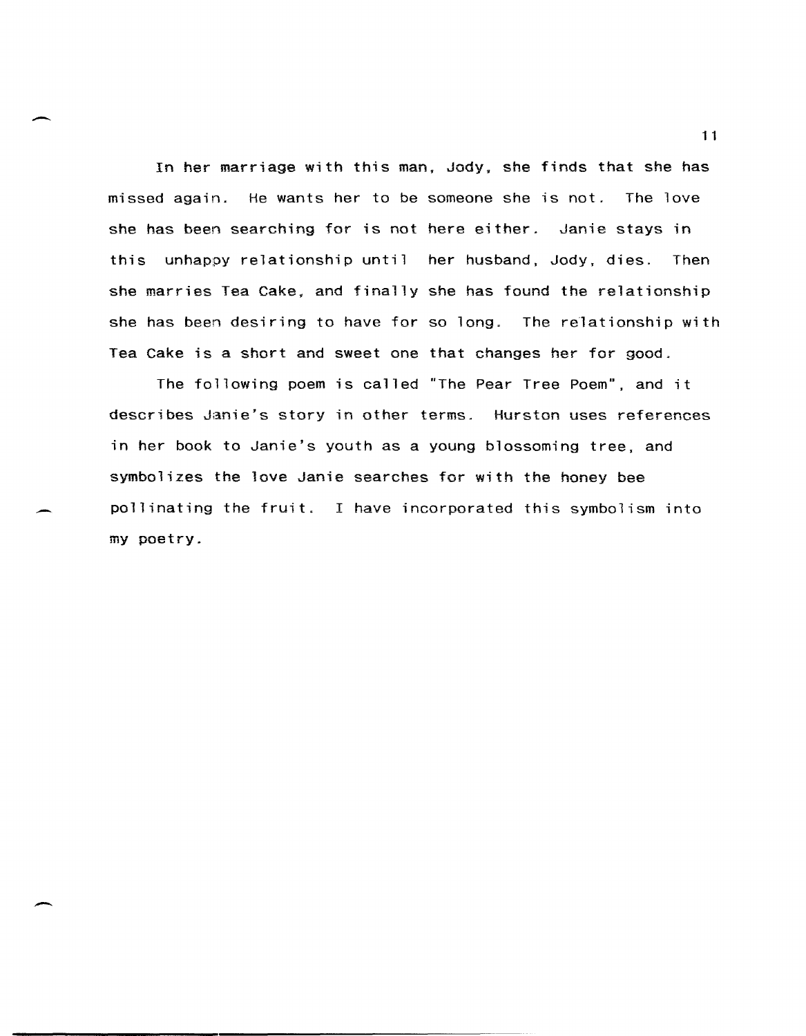In her marriage with this man. Jody. she finds that she has missed again. He wants her to be someone she is not. The love she has been searching for is not here either. Janie stays in this unhappy relationship until her husband, Jody, dies. Then she marries Tea Cake, and finally she has found the relationship she has been desiring to have for so long. The relationship with Tea Cake is a short and sweet one that changes her for good.

The following poem is called "The Pear Tree Poem", and it describes Janie's story in other terms. Hurston uses references in her book to Janie's youth as a young blossoming tree, and symbolizes the love Janie searches for with the honey bee pollinating the fruit. I have incorporated this symbolism into my poetry.

1 1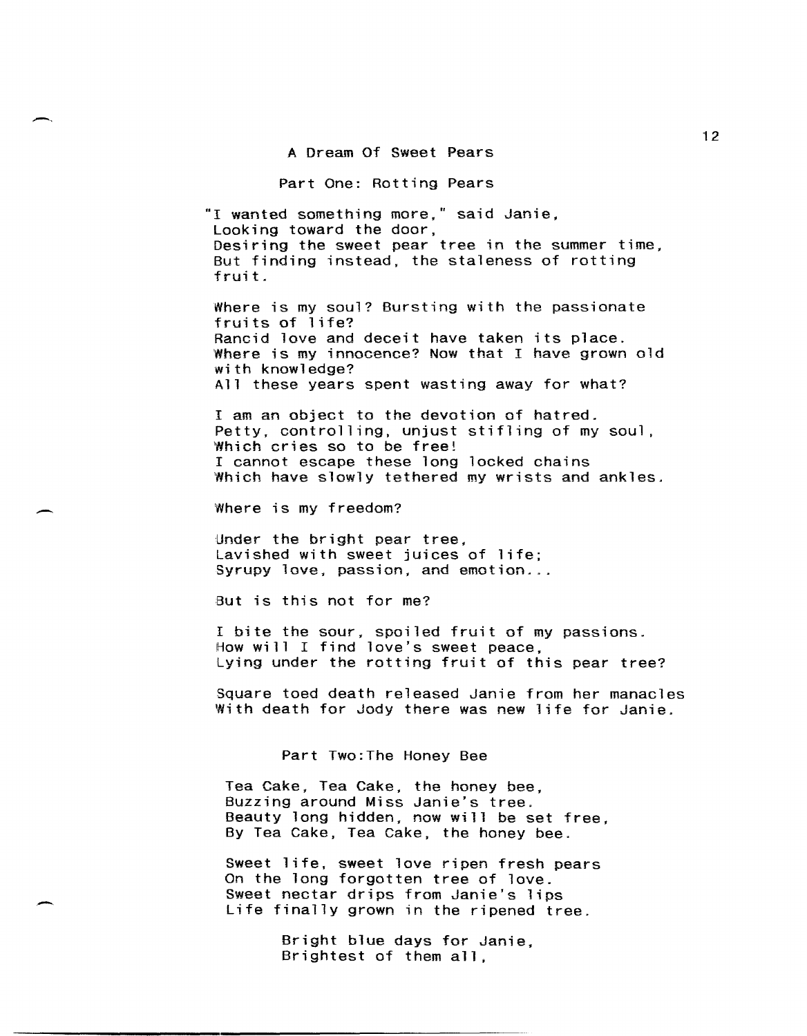A Dream Of Sweet Pears

#### Part One: Rotting Pears

"I wanted something more," said Janie, Looking toward the door, Desiring the sweet pear tree in the summer time, But finding instead, the staleness of rotting fruit.

Where is my soul? Bursting with the passionate fruits of life? Rancid love and deceit have taken its place. Where is my innocence? Now that I have grown old with knowledge? All these years spent wasting away for what?

I am an object to the devotion of hatred. Petty, controlling, unjust stifling of my soul, Which cries so to be free! I cannot escape these long locked chains Which have slowly tethered my wrists and ankles.

Where is my freedom?

-.

-

Under the bright pear tree, Lavished with sweet juices of life; Syrupy love, passion, and emotion...

But is this not for me?

I bite the sour, spoiled fruit of my passions. How will I find love's sweet peace, Lying under the rotting fruit of this pear tree?

Square toed death released Janie from her manacles With death for Jody there was new life for Janie.

Part Two:The Honey Bee

Tea Cake, Tea Cake, the honey bee, Buzzing around Miss Janie's tree. Beauty long hidden, now will be set free, By Tea Cake, Tea Cake, the honey bee.

Sweet life, sweet love ripen fresh pears On the long forgotten tree of love. Sweet nectar drips from Janie's lips Life finally grown in the ripened tree.

> Bright blue days for Janie, Brightest of them all,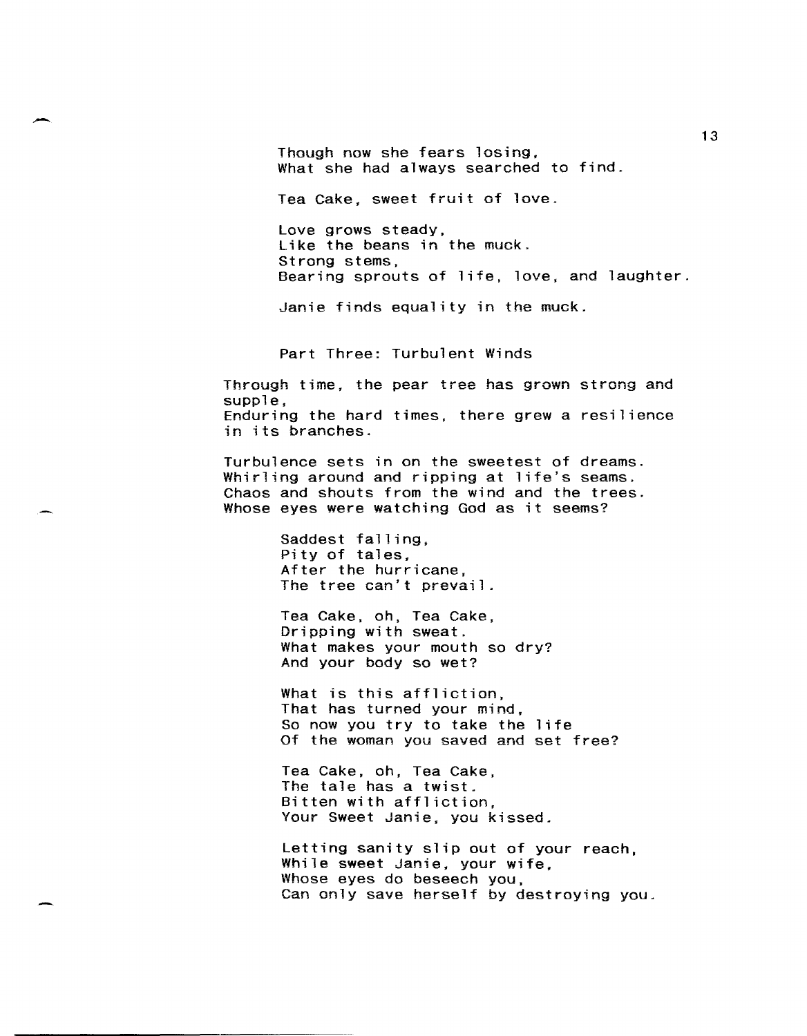Though now she fears losing, What she had always searched to find.

Tea Cake. sweet fruit of love.

Love grows steady, Like the beans in the muck. Strong stems, Bearing sprouts of life, love, and laughter.

Janie finds equality in the muck.

Part Three: Turbulent Winds

Through time. the pear tree has grown strong and supple, Enduring the hard times, there grew a resilience in its branches.

Turbulence sets in on the sweetest of dreams\_ Whirling around and ripping at life's seams. Chaos and shouts from the wind and the trees. Whose eyes were watching God as it seems?

> Saddest falling, Pity of tales. After the hurricane, The tree can't prevail.

Tea Cake, oh, Tea Cake, Dripping with sweat. What makes your mouth so dry? And your body so wet?

What is this affliction, That has turned your mind. So now you try to take the life Of the woman you saved and set free?

Tea Cake, oh, Tea Cake, The tale has a twist. Bitten with affliction, Your Sweet Janie, you kissed.

Letting sanity slip out of your reach, While sweet Janie, your wife, Whose eyes do beseech you, Can only save herself by destroying you.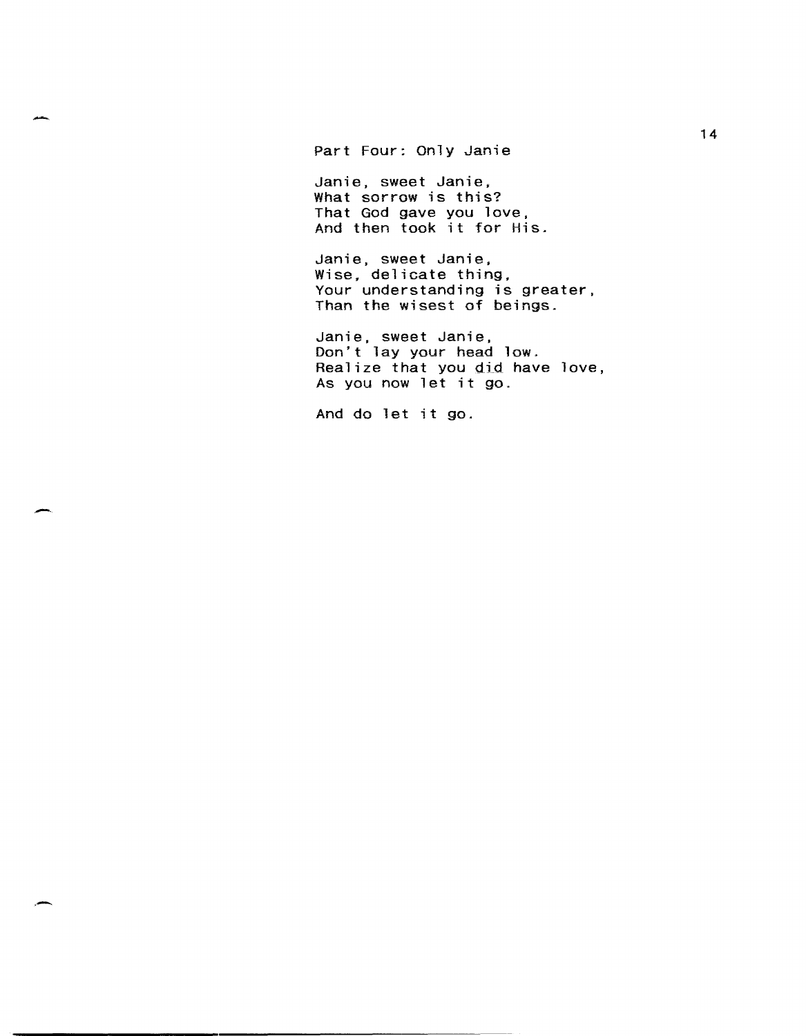Part Four: Only Janie

.<br>ما*لسلم* 

Janie, sweet Janie, What sorrow is this? That God gave you love, And then took it for His.

Janie, sweet Janie, Wise, delicate thing, Your understanding is greater, Than the wisest of beings.

Janie, sweet Janie, Don't lay your head low. Realize that you did have love, As you now let it go.

And do let it go.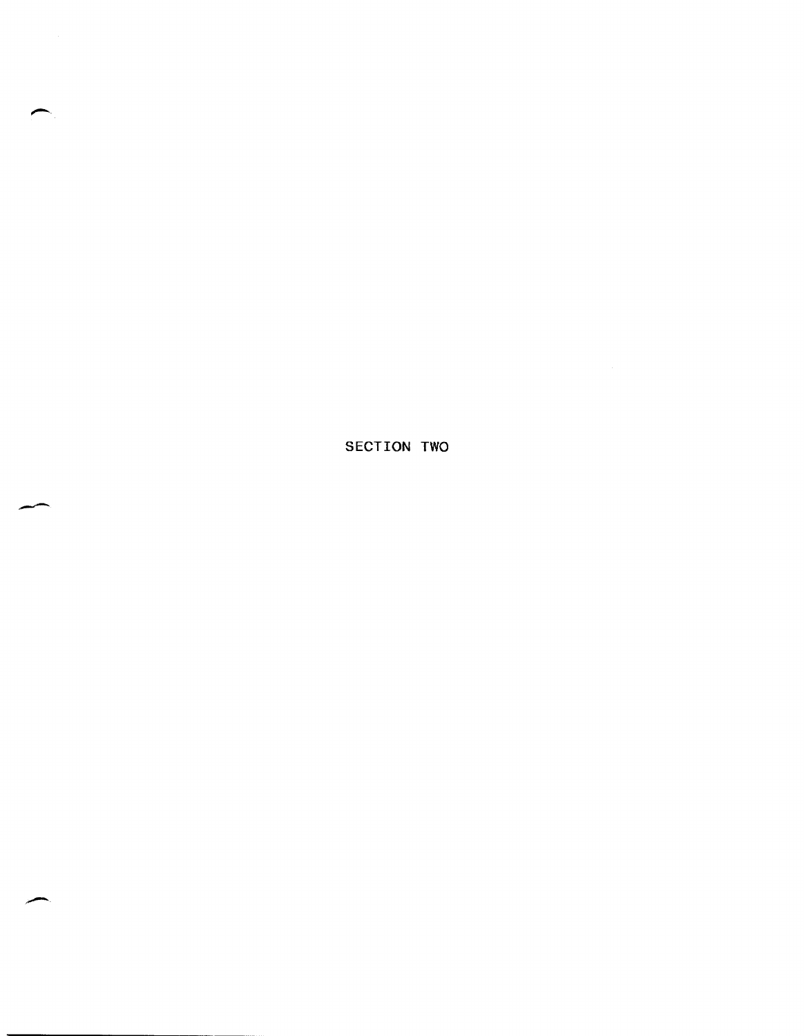SECTION TWO

سد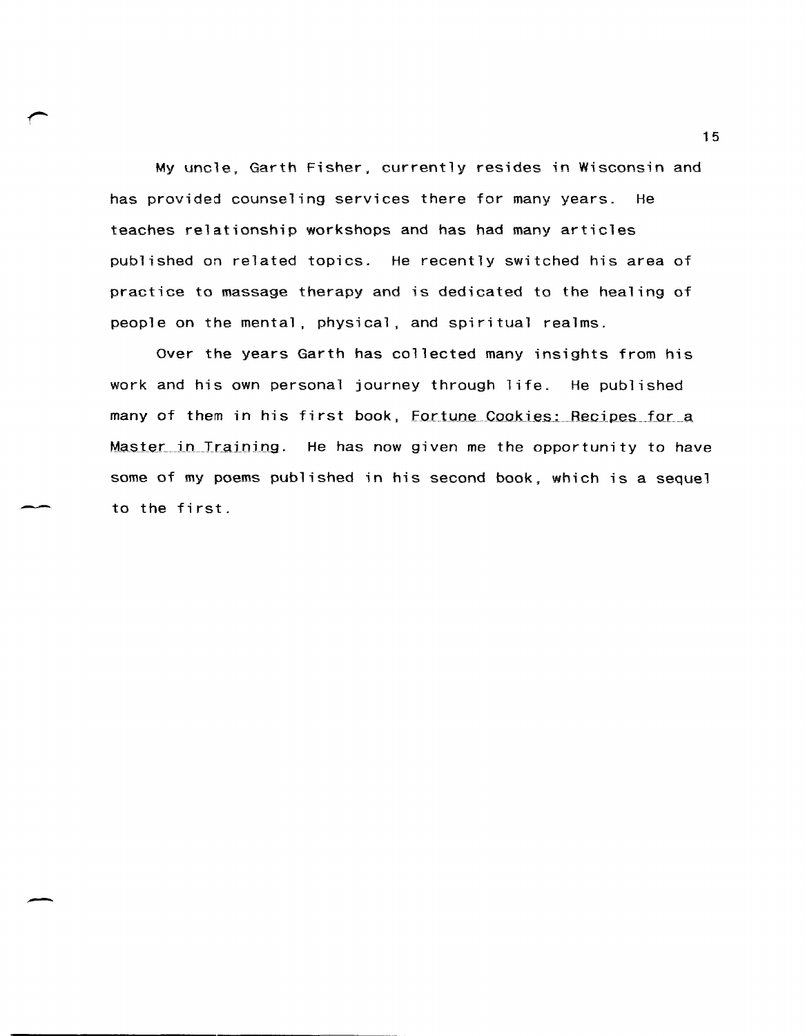My uncle. Garth Fisher. currently resides in Wisconsin and has provided counseling services there for many years. He teaches relationship workshops and has had many articles published on related topics. He recently switched his area of practice to massage therapy and is dedicated to the healing of people on the mental. physical, and spiritual realms.

Over the years Garth has collected many insights from his work and his own personal journey through life. He published many of them in his first book, Fortune Cookies: Recipes for a Master in Training. He has now given me the opportunity to have some of my poems published in his second book. which is a sequel to the first.

-

15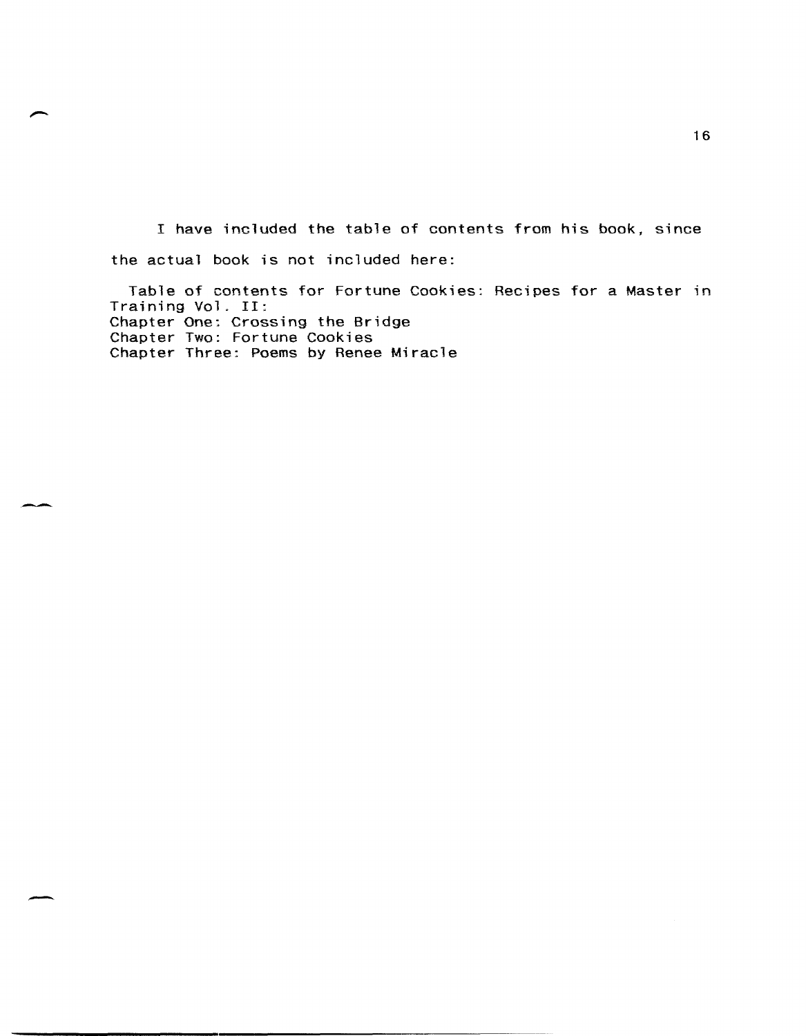I have included the table of contents from his book, since the actual book is not included here:

Table of contents for Fortune Cookies: Recipes for a Master in Training Vol. II: Chapter One: Crossing the Bridge Chapter Two: Fortune Cookies Chapter Three: Poems by Renee Miracle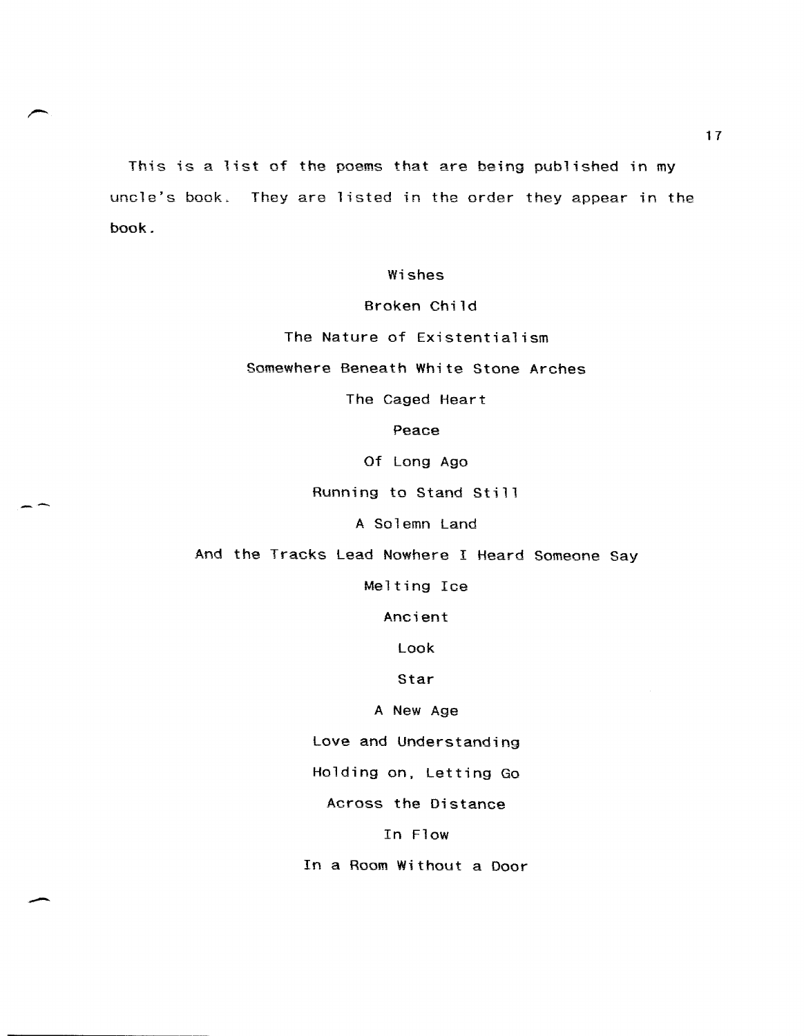This is a list of the poems that are being published in my uncle's book. They are listed in the order they appear in the book.

Wishes

Broken Child

The Nature of Existentialism

Somewhere Beneath White Stone Arches

The Caged Heart

Peace

Of Long Ago

Running to Stand Still

--

A Solemn Land

And the Tracks Lead Nowhere I Heard Someone Say

Melting Ice

Ancient

Look

Star

A New Age

Love and Understanding

Holding on, Letting Go

Across the Distance

In Flow

In a Room Without a Door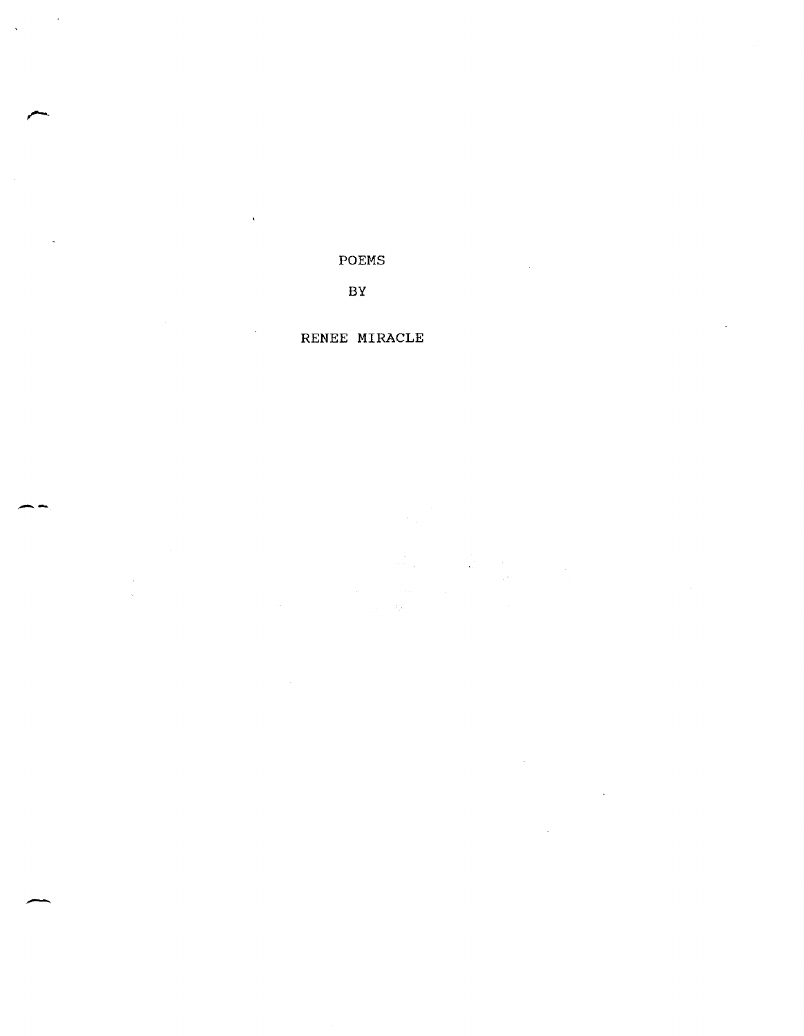POEMS

BY

# RENEE MIRACLE

**--**

-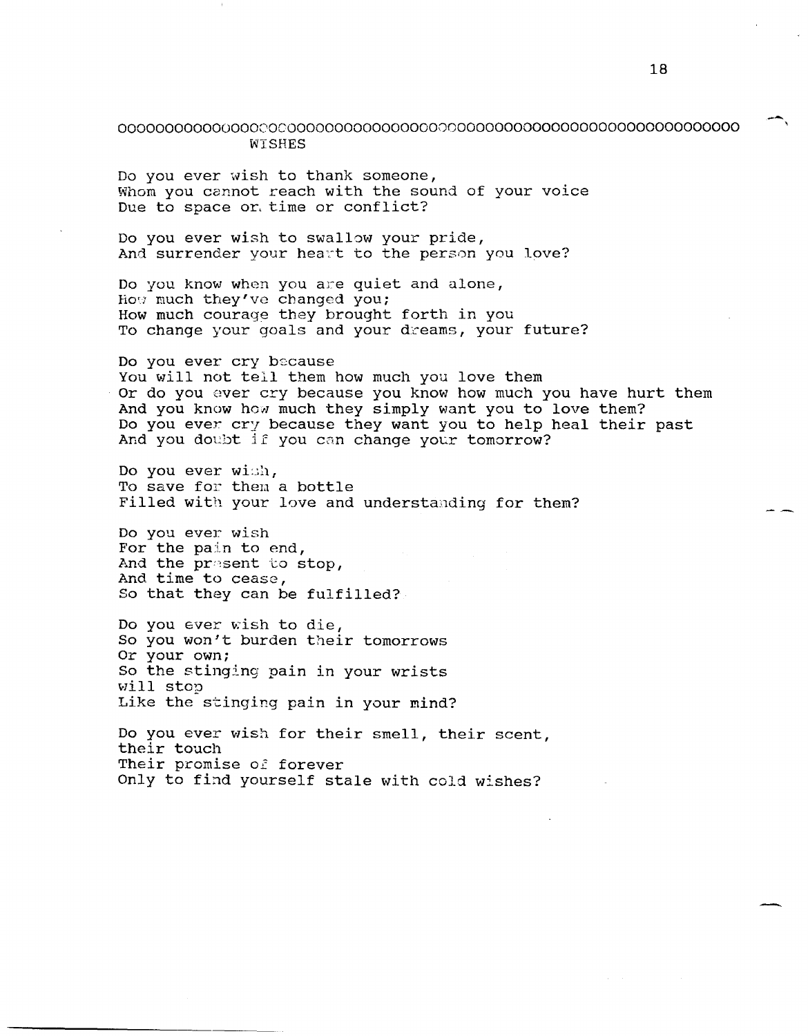## 000000000000000000000000000000000000000000000000000000000000000000 WISHES

Do you ever wish to thank someone, Whom you cannot reach with the sound of your voice Due to space or, time or conflict?

Do you ever wish to swallow your pride, And surrender your heart to the person you love?

Do you know when you are quiet and alone, How much they've changed you; How much courage they brought forth in you To change your goals and your dreams, your future?

Do you ever cry because You will not tell them how much you love them Or do you ever cry because you know how much you have hurt them And you know how much they simply want you to love them? Do you ever cry because they want you to help heal their past And you doubt if you can change your tomorrow?

Do you ever  $width_{i}$ To save for them a bottle Filled with your love and understanding for them?

Do you ever wish For the pain to end, And the present to stop, And time to cease, So that they can be fulfilled?

Do you ever wish to die, So you won/t burden their tomorrows Or your own: So the stinging pain in your wrists vIill stop Like the stinging pain in your mind?

Do you ever wish for their smell, their scent, their touch Their promise of forever Only to find yourself stale with cold wishes?

-,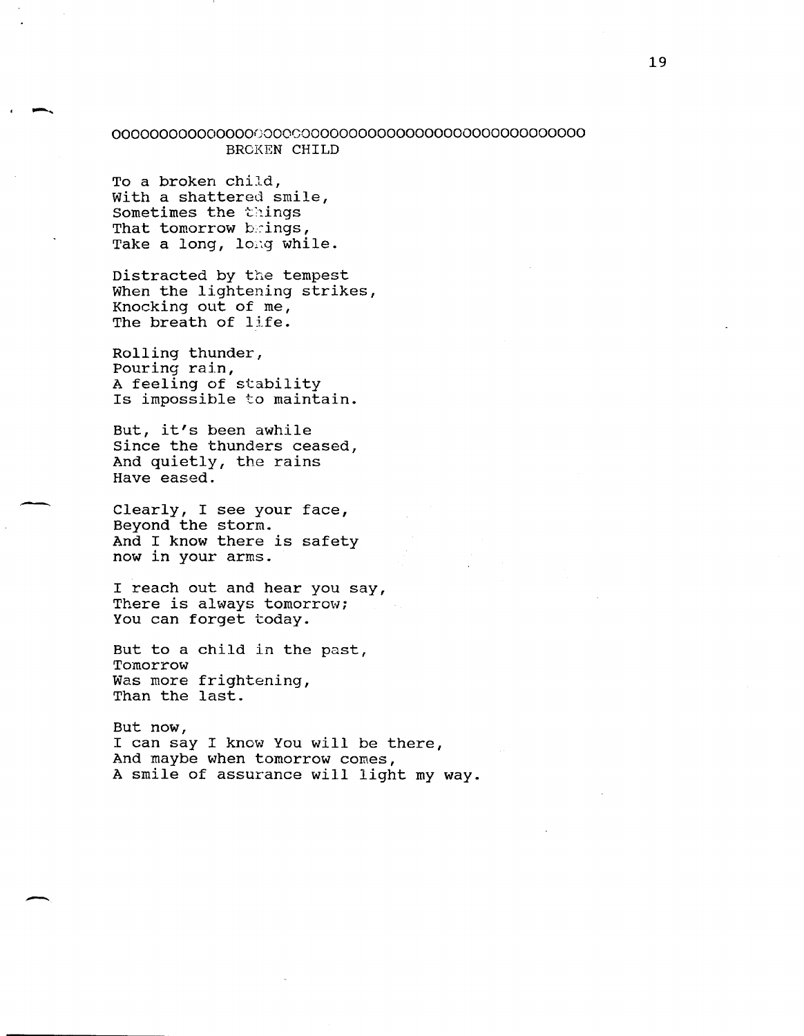## OOOOOOOOOOOOOOOGOOOCOOOOOOOOOOOOOOOOOOOOOOOOOOOOOO BROKEN CHILD

To a broken child, with a shattered smile, Sometimes the things That tomorrow brings, Take a long, long while.

-..

-

Distracted by the tempest When the lightening strikes, Knocking out of me, The breath of life.

Rolling thunder, Pouring rain, A feeling of stability Is impossible to maintain.

But, it's been awhile Since the thunders ceased, And quietly, the rains Have eased.

Clearly, I see your face, Beyond the storm. And I know there is safety now in your arms.

I reach out and hear you say, There is always tomorrow; You can forget today.

But to a child in the past, Tomorrow Was more frightening, Than the last.

But now, I can say I know You will be there, And maybe when tomorrow comes, A smile of assurance will light my way.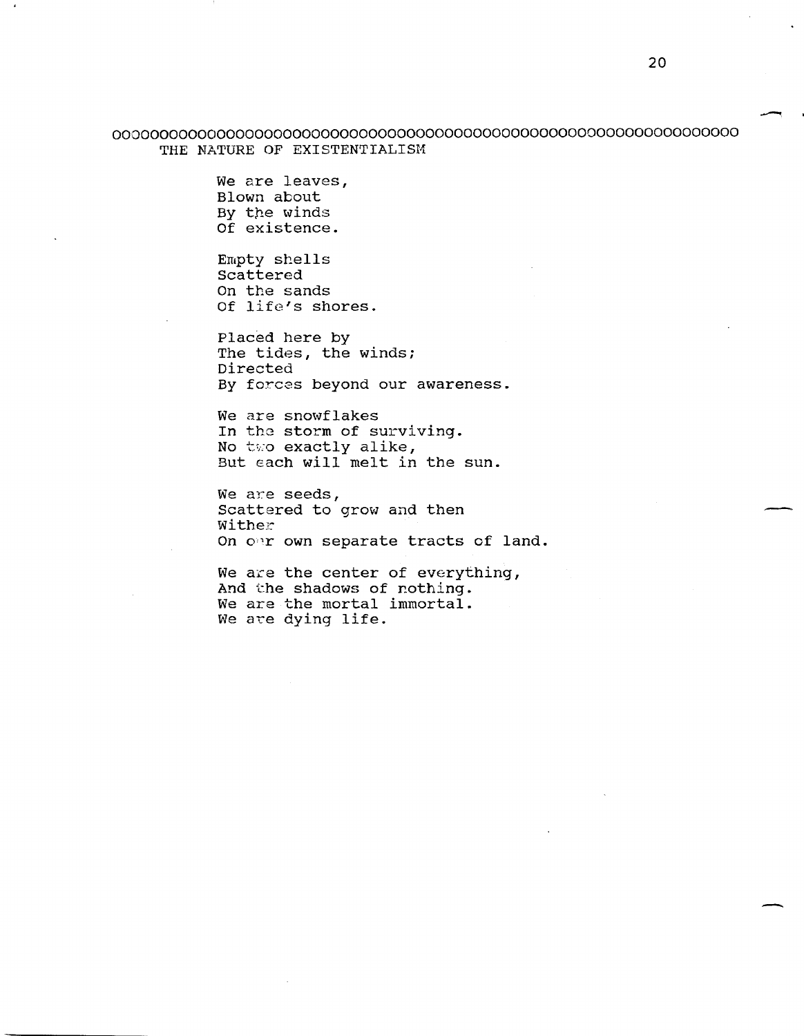000000000000000000000000000000000000000000000000000000000000000000 THE NATURE OF EXISTENTIALISM

> We are leaves, Blown about By the winds Of existence.

Empty shells Scattered On the sands Of life's shores.

Placed here by The tides, the winds; Directed By forces beyond our awareness.

We are snowflakes In the storm of surviving. No two exactly alike, But Each will melt in the sun.

We are seeds, Scattered to grow and then wither On o'r own separate tracts of land.

We are the center of everything, And the shadows of nothing. We are the mortal immortal. We are dying life.

--

-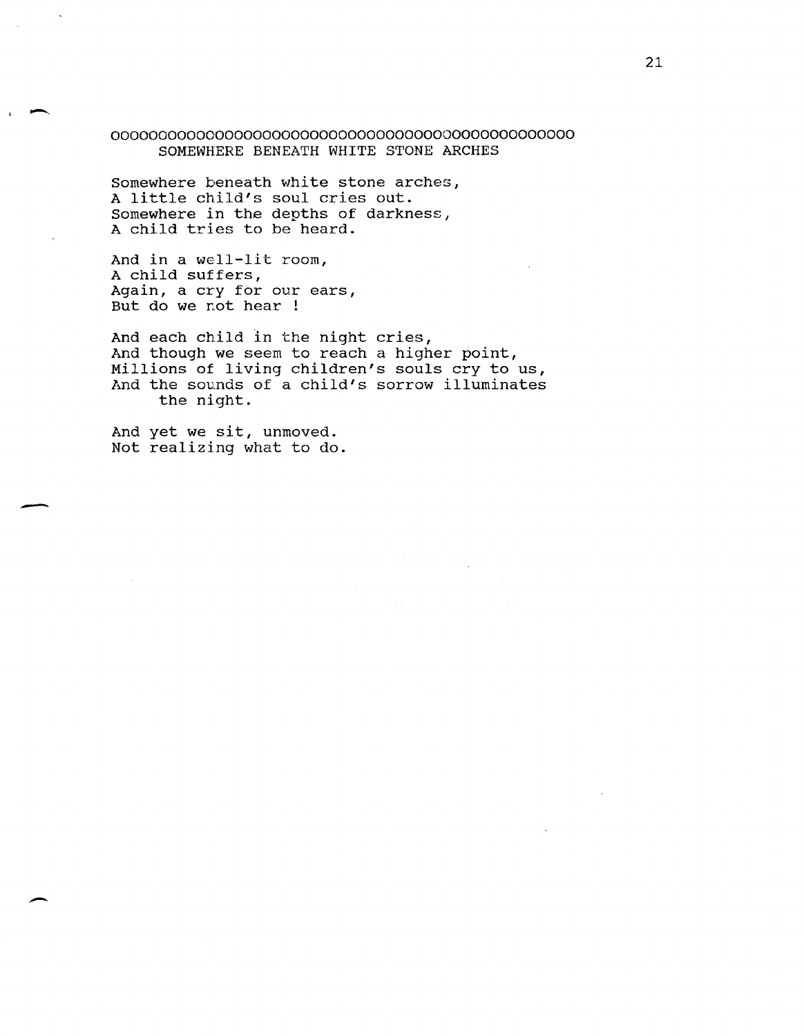## 0000000000000000000000000000000000000000000000000 SOMEWHERE BENEATH WHITE STONE ARCHES

Somewhere beneath white stone arches, A little child's soul cries out. Somewhere in the depths of darkness, A child tries to be heard.

And in a well-lit room, A child suffers, Again, a cry for our ears, But do we not hear !

 $\overline{\phantom{a}}$ 

-

 $\overline{\phantom{a}}$ 

And each child in the night cries, And though we seem to reach a higher point, Millions of living children's souls cry to us, And the sounds of a child's sorrow illuminates the night.

And yet we sit, unmoved. Not realizing what to do.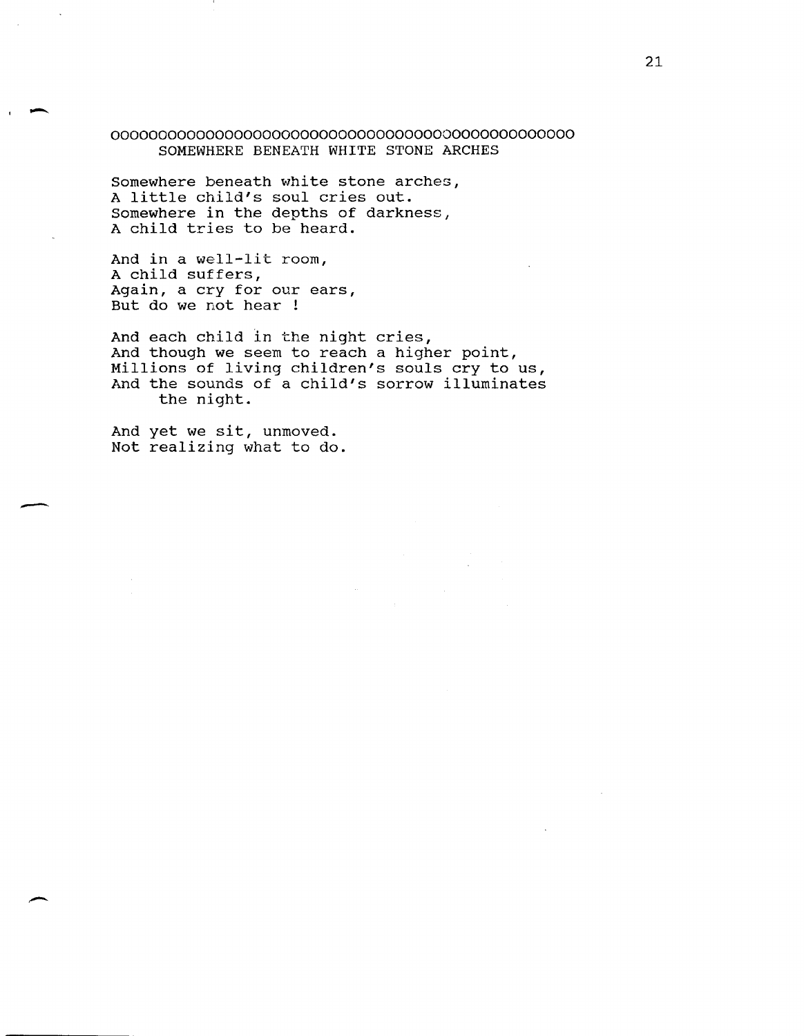### 0000000000000000000000000000000000000000000000000 SOMEWHERE BENEATH WHITE STONE ARCHES

Somewhere beneath white stone arches, A little child's soul cries out. Somewhere in the depths of darkness, A child tries to be heard.

And in a well-lit room, A child suffers, Again, a cry for our ears, But do we not hear !

And each child in the night cries, And though we seem to reach a higher point, Millions of living children's souls cry to us, And the sounds of a child's sorrow illuminates the night.

And yet we sit, unmoved. Not realizing what to do.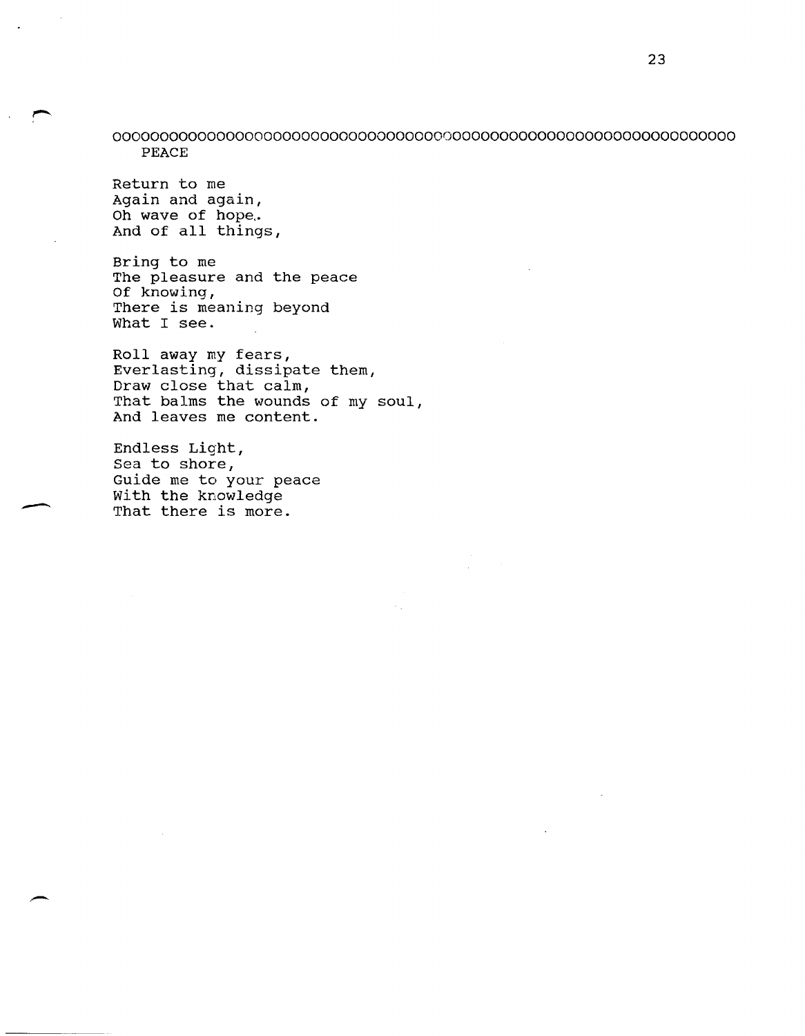000000000000000000000000000000000000000000000000000000000000000000 PEACE

Return to me Again and again, Oh wave of hope. And of all things,

Bring to me The pleasure and the peace Of knowing, There is meaning beyond What I see.

Roll away my fears, Everlasting, dissipate them, Draw close that calm, That balms the wounds of my soul, And leaves me content.

Endless Light, Sea to shore, Guide me to your peace With the knowledge That there is more.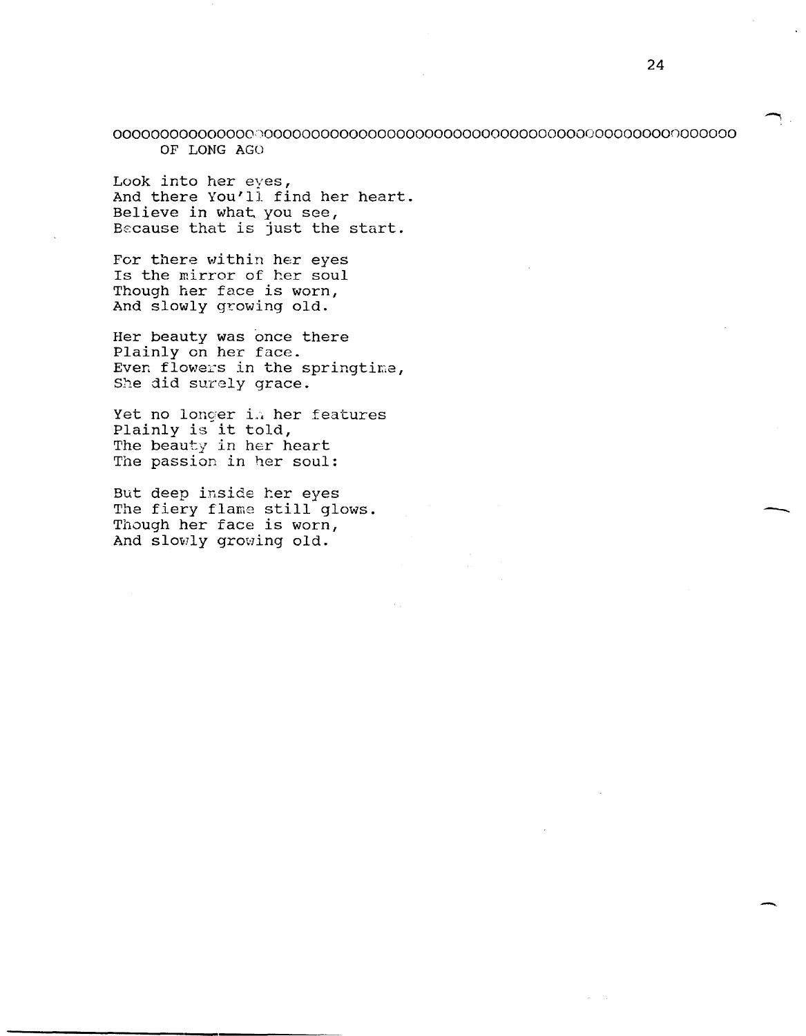OOOOOOOOOOOOOOO~'OOOOOOOOOOOOOOOOOOOOOOOOOOOOOOOOOOOOOoooooonoooooo OF LONG AGO

Look into her eyes, And there You'll find her heart. Believe in what you see, Because that is just the start.

For there within her eyes Is the mirror of her soul Though her face is worn, And slowly growing old.

Her beauty was once there Plainly on her face. Even flowers in the springtime, She did surely grace.

Yet no longer in her features Plainly is it told, The beauty in her heart The passion in her soul:

But deep inside her eyes The fiery flame still glows. Though her face is worn, And slowly growing old.

-

-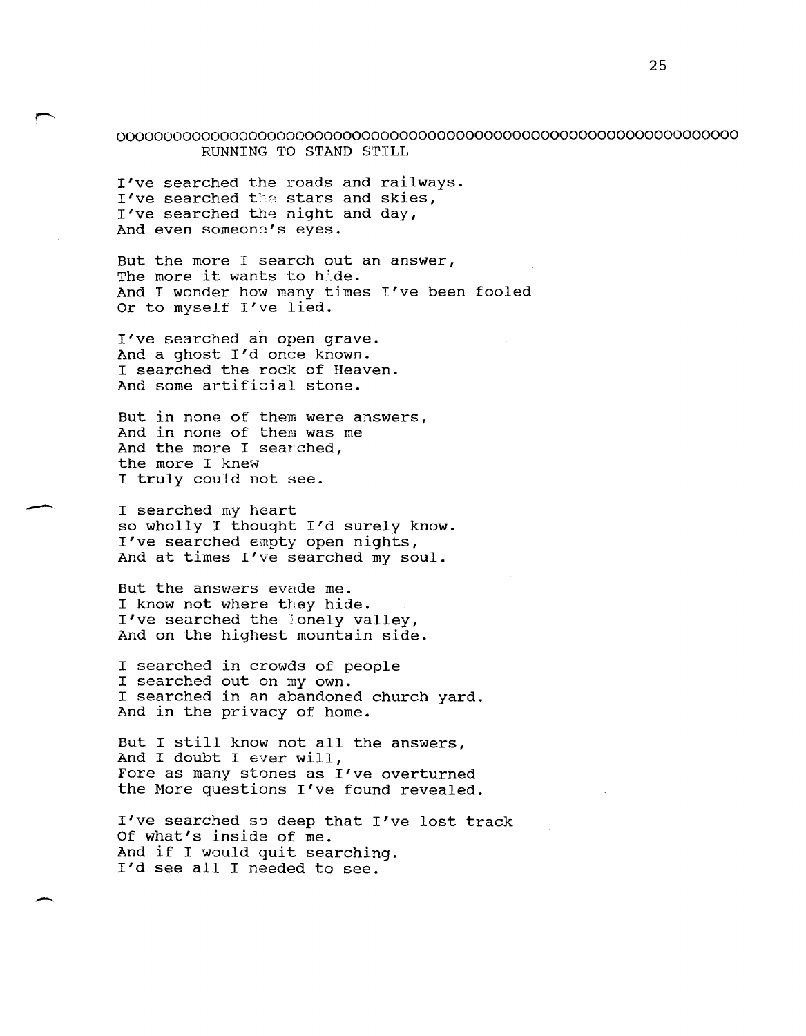000000000000000000000000000000000000000000000000000000000000000000 RUNNING TO STAND STILL

I've searched the roads and railways. I've searched the stars and skies, I've searched the night and day, And even someone's eyes.

But the more I search out an answer, The more it wants to hide. And I wonder how many times I've been fooled Or to myself l've lied.

I've searched an open grave. And a ghost I'd once known. I searched the rock of Heaven. And some artificial stone.

But in none of them were answers, And in none of them was me And the more I searched, the more I knew I truly could not see.

-

-

I searched my heart so wholly I thought I'd surely know. l've searched empty open nights, And at times l've searched my soul.

But the answers evade me. I know not where they hide. I've searched the lonely valley, And on the highest mountain side.

I searched in crowds of people I searched out on my own. I searched in an abandoned church yard. And in the privacy of home.

But I still know not all the answers, And I doubt I ever will, Fore as many stones as I've overturned the More questions I've found revealed.

I've searched so deep that I've lost track Of what's inside of me. And if I would quit searching. I'd see all I needed to see.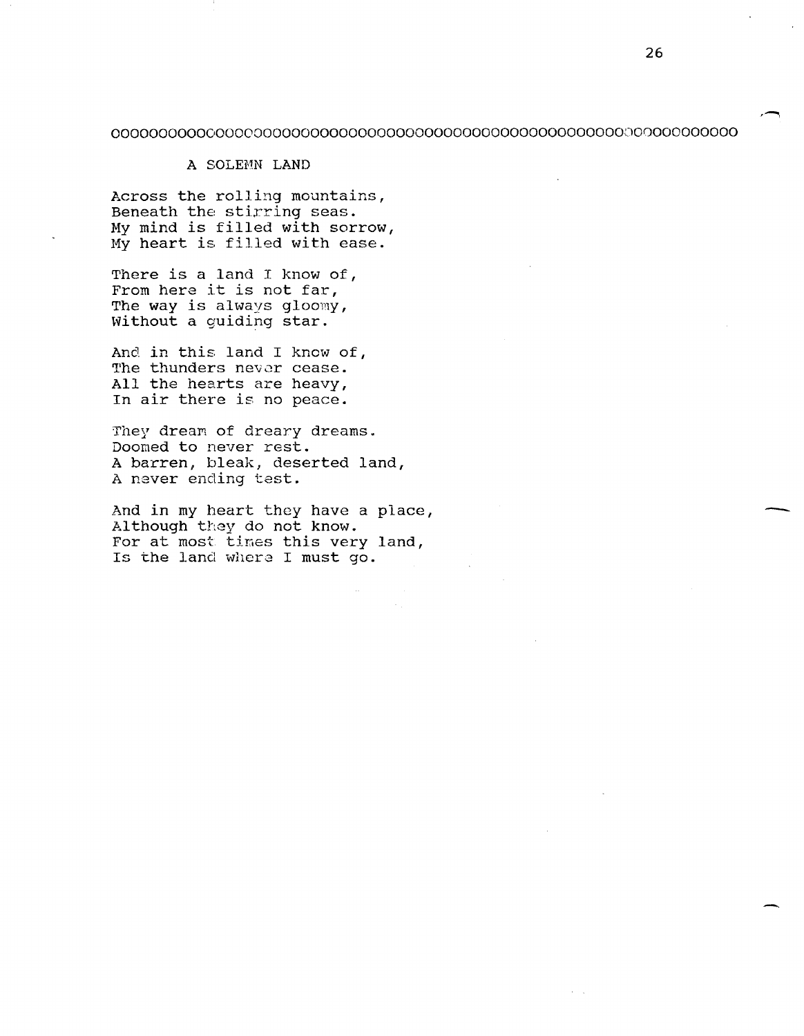## 000000000000000000000000000000000000000000000000000000000000000000

#### A SOLEHN LAND

Across the rolling mountains, Beneath the stirring seas. My mind is filled with sorrow, My heart is filled with ease.

There is a land I know of, From here it is not far, The way is always gloomy, without a guiding star.

And in this land I know of, The thunders never cease. All the hearts are heavy, In air there is no peace.

They drean of dreary dreams. Doomed to never rest. A barren, bleak, deserted land, A never ending test.

And in my heart they have a place, Although they do not know. For at most tines this very land, Is the land where I must go.

-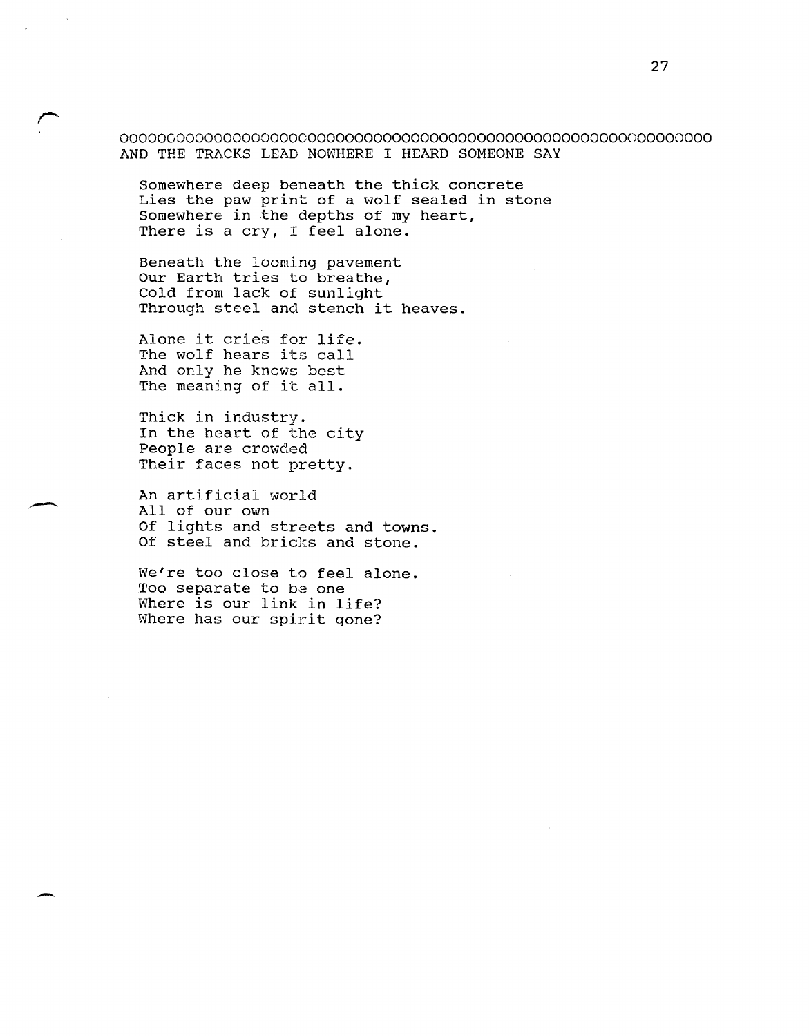000000000000000000000000000000000000000000000000000000000000000 AND THE TRACKS LEAD NOWHERE I HEARD SOMEONE SAY

Somewhere deep beneath the thick concrete Lies the paw print of a wolf sealed in stone Somewhere in the depths of my heart, There is a cry, I feel alone.

Beneath the looming pavement Our Earth tries to breathe, Cold from lack of sunlight Through steel and stench it heaves.

Alone it cries for life. The wolf hears its call And only he knows best The meaning of it all.

Thick in industry. In the heart of the city People are crowded Their faces not pretty.

-

-

An artificial world All of our own Of lights and streets and towns. Of steel and bricks and stone.

We're too close to feel alone. Too separate to be one Where is our link in life? Where has our spirit gone?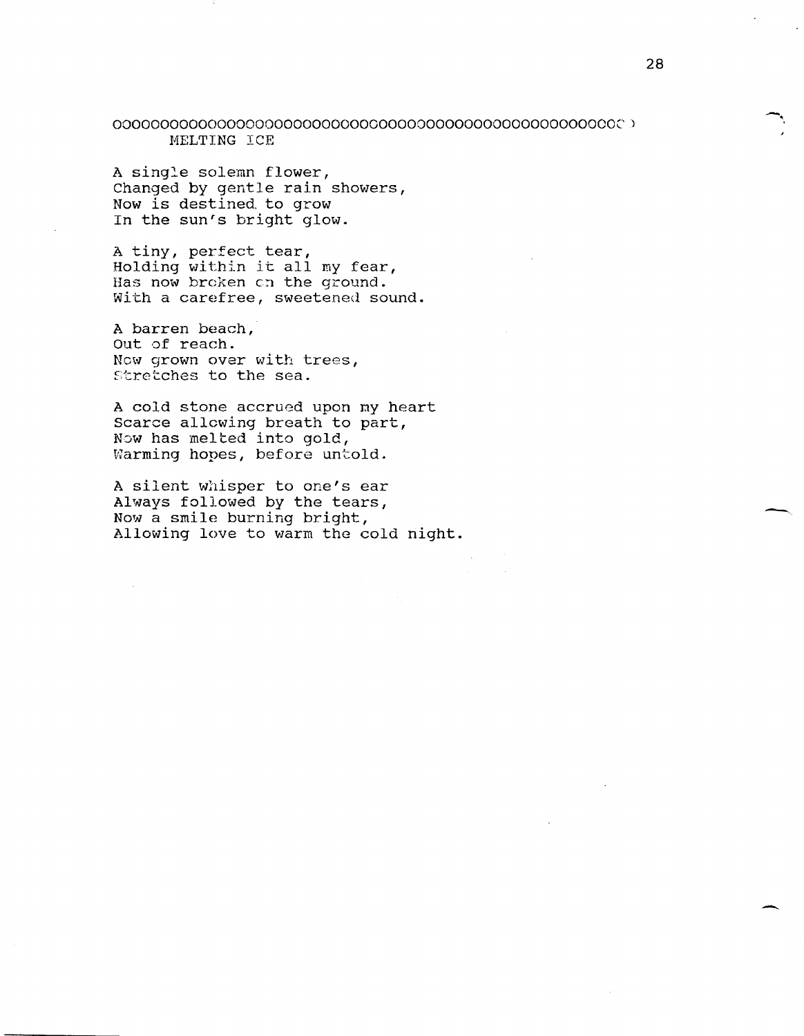000000000000000000000000000000000000000000000000000002) HELTING ICE

A single solemn flower, Changed by gentle rain showers, Now is destined, to grow In the sun's bright glow.

A tiny, perfect tear, Holding within it all my fear, Has now broken on the ground. with a carefree, sweetened sound.

A barren beach, Out of reach. New grown over with trees, stretches to the sea.

A cold stone accrued upon ny heart Scarce allowing breath to part, Now has melted into gold, Warming hopes, before untold.

A silent whisper to one's ear Always followed by the tears, Now a smile burning bright, Allowing love to warm the cold night. -,

--

 $\overline{\phantom{0}}$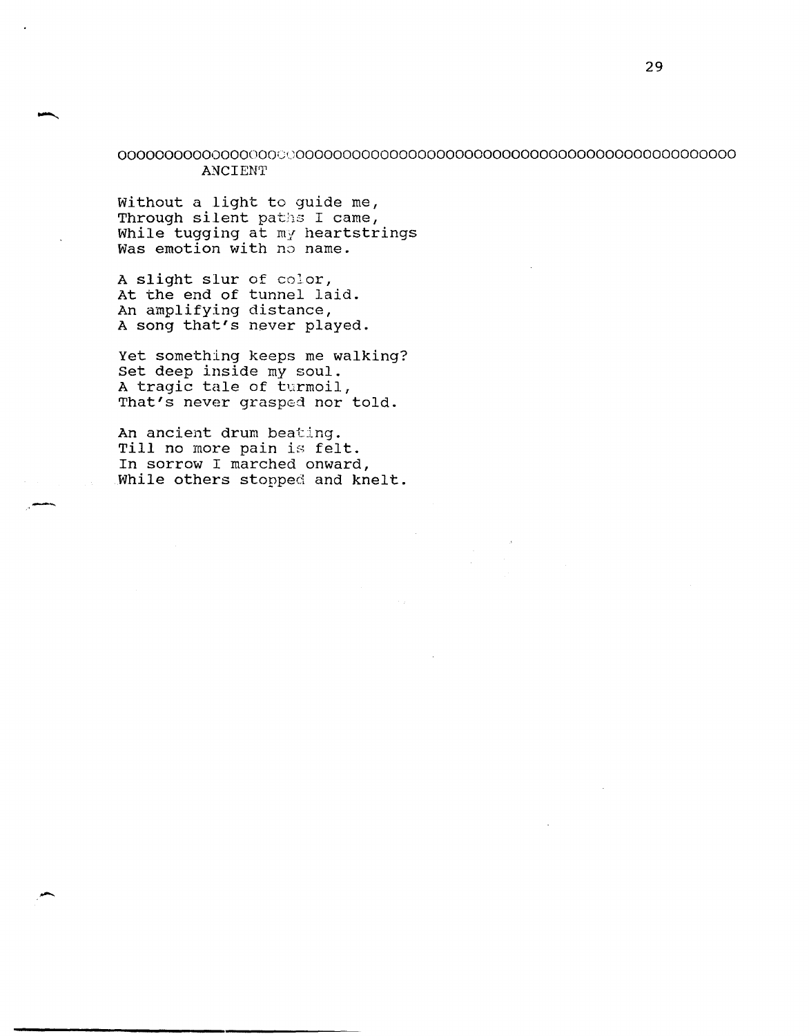## 000000000000000000000000000000000000000000000000000000000000000000 ANCIENT

without a light to guide me, Through silent paths I came, While tugging at my heartstrings Was emotion with no name.

A slight slur of color, At the end of tunnel laid. An amplifying distance, A song that's never played.

Yet something keeps me walking? Set deep inside my soul. A tragic tale of turmoil, That's never grasped nor told.

An ancient drum beating. Till no more pain is felt. In sorrow I marched onward, While others stopped and knelt.

-""

-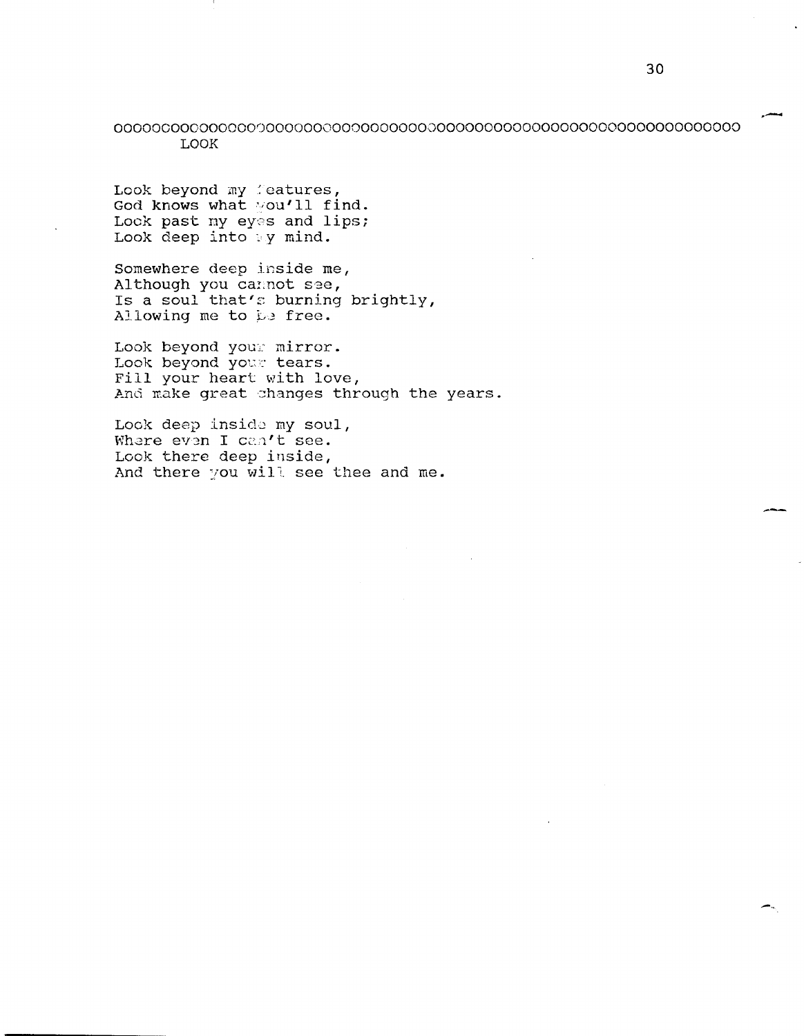## 000000000000000000000000000000000000000000000000000000000000000000 LOOK

Look beyond my *leatures*, God knows what you'll find. Lock past my eyes and lips; Look deep into  $\sqrt{y}$  mind.

Somewhere deep inside me, Although you cannot see, Is a soul that's burning brightly, Allowing me to be free.

Look beyond your mirror. Look beyond yowe tears. Fill your heart with love, And make great changes through the years.

Look deep inside my soul, Where even I can't see. Look there deep inside, And there you will see thee and me. .-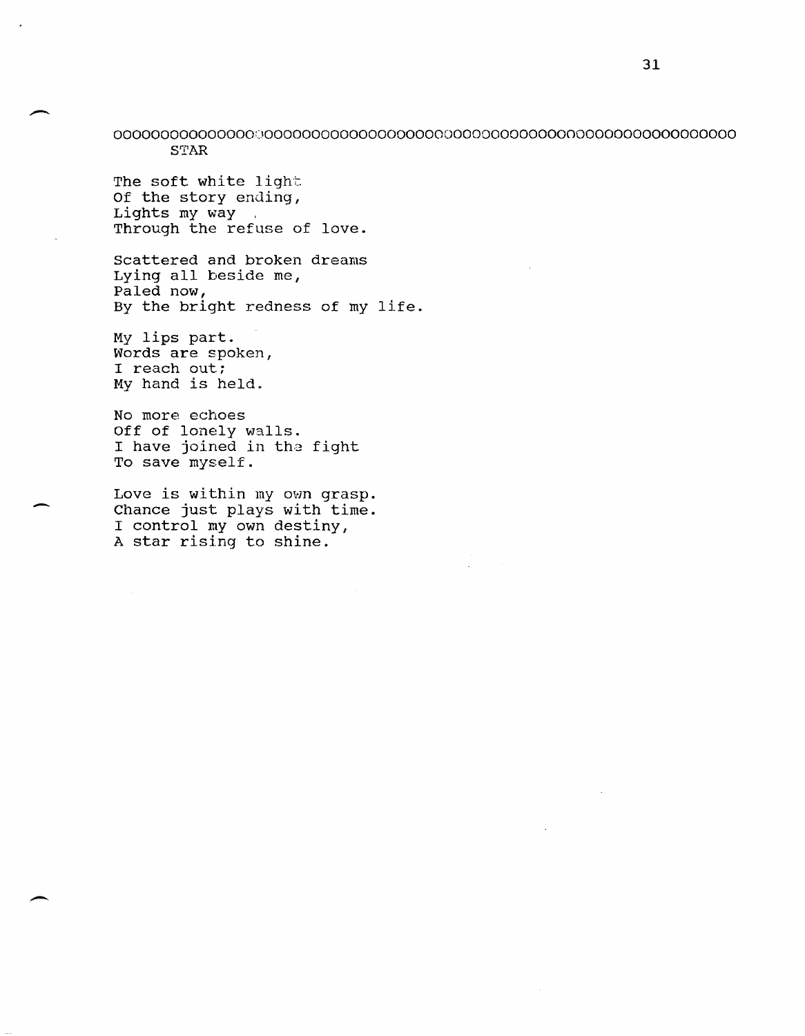000000000000000000000000000000000000000000000000000000000000000000 **STAR** 

The soft white light Of the story ending, Lights my way. Through the refuse of love.

Scattered and broken dreams Lying all beside me, Paled now, By the bright redness of my life.

My lips part. Words are spoken, I reach out; My hand is held.

-

-

No more echoes Off of lonely walls. I have joined in the fight To save myself.

Love is within my own grasp. Chance just plays with time. I control my own destiny, A star rising to shine.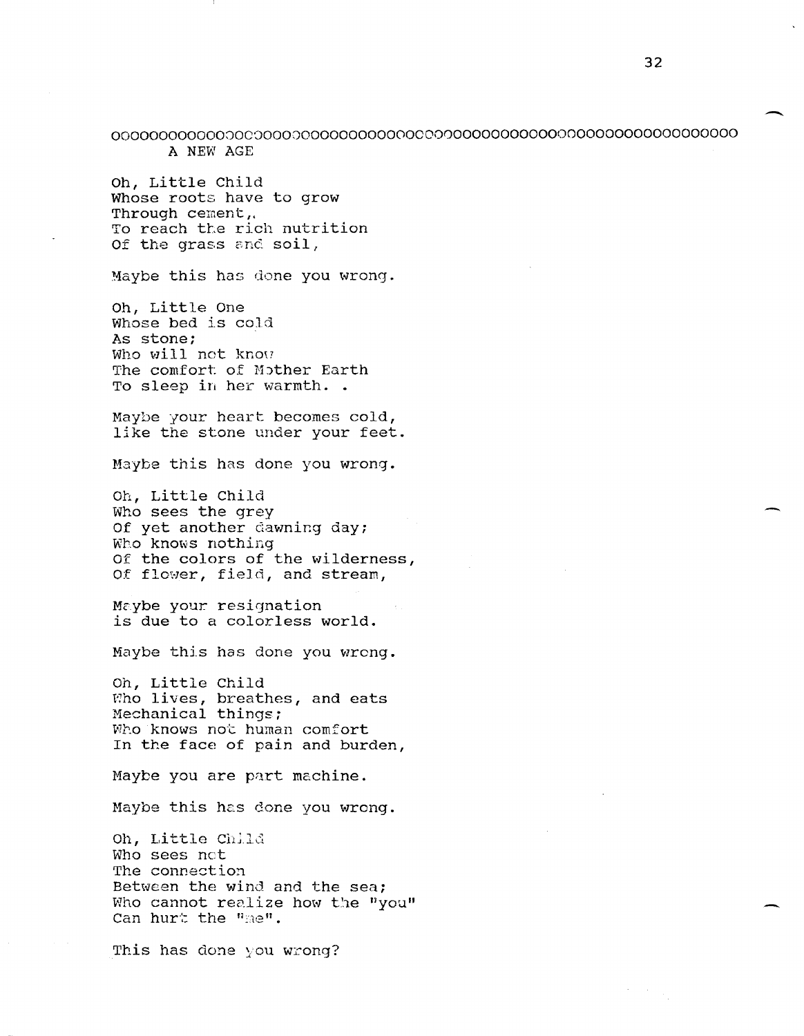00000000000000C800000000000000000000000000000000000000000000000000 A NEW AGE

Oh, Little Child Whose roots have to grow Through cement, To reach the rich nutrition Of the grass and soil,

Maybe this has done you wrong.

Oh, Little One Whose bed is cold As stone; Who will not know The comfort of Mother Earth To sleep in her warmth. .

Maybe your heart becomes cold, like the stone under your feet.

Maybe this has done you wrong.

Oh, Little child Who sees the grey Of yet another dawning day; Who knows nothing Of the colors of the wilderness, Of flower, field, and stream,

Maybe your resignation is due to a colorless world.

Maybe this has done you wrong.

Oh, Little Child Who lives, breathes, and eats Mechanical things; Who knows not human comfort In the face of pain and burden,

Maybe you are part machine.

Maybe this has done you wrong.

Oh, Little Child Who sees net The connection Between the wind and the sea; Who cannot realize how the "you" Can hurt the "me".

This has done you wrong?

-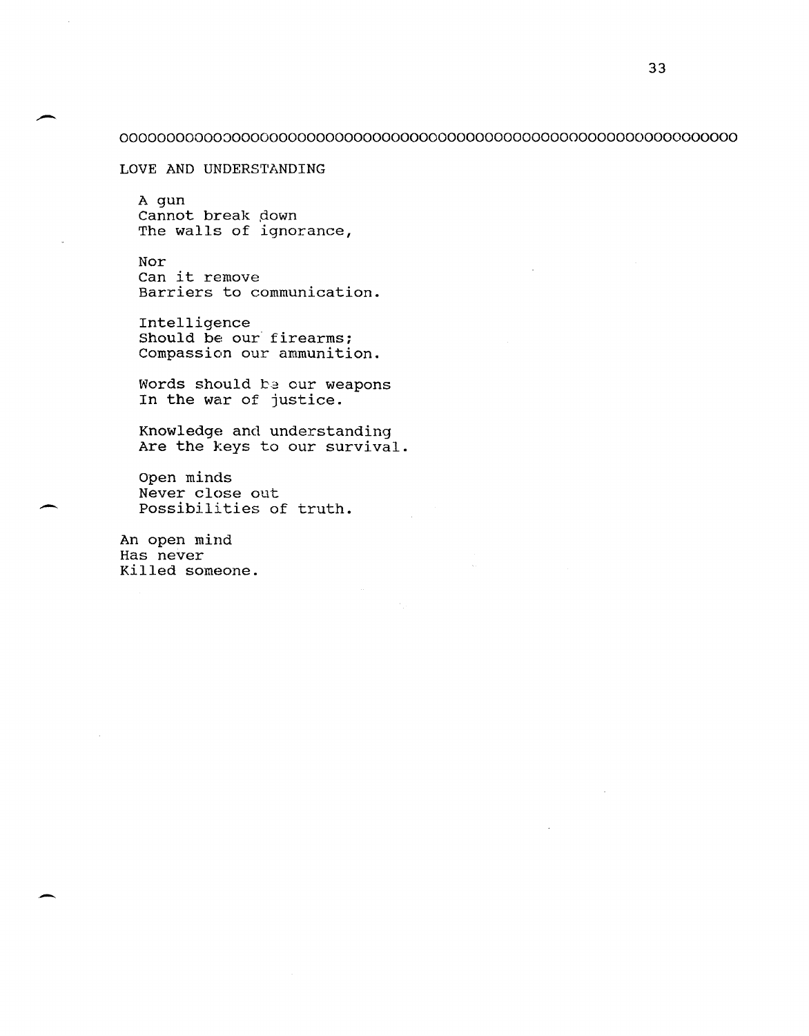## 000000000000000000000000000000000000000000000000000000000000000000

LOVE AND UNDERSTANDING

A gun Cannot break down The walls of ignorance,

Nor Can it remove Barriers to communication.

Intelligence Should be our firearms; Compassion our ammunition.

Words should be our weapons In the war of justice.

Knowledge and understanding Are the keys to our survival.

Open minds Never close out possibilities of truth.

An open mind Has never Killed someone .

--

. -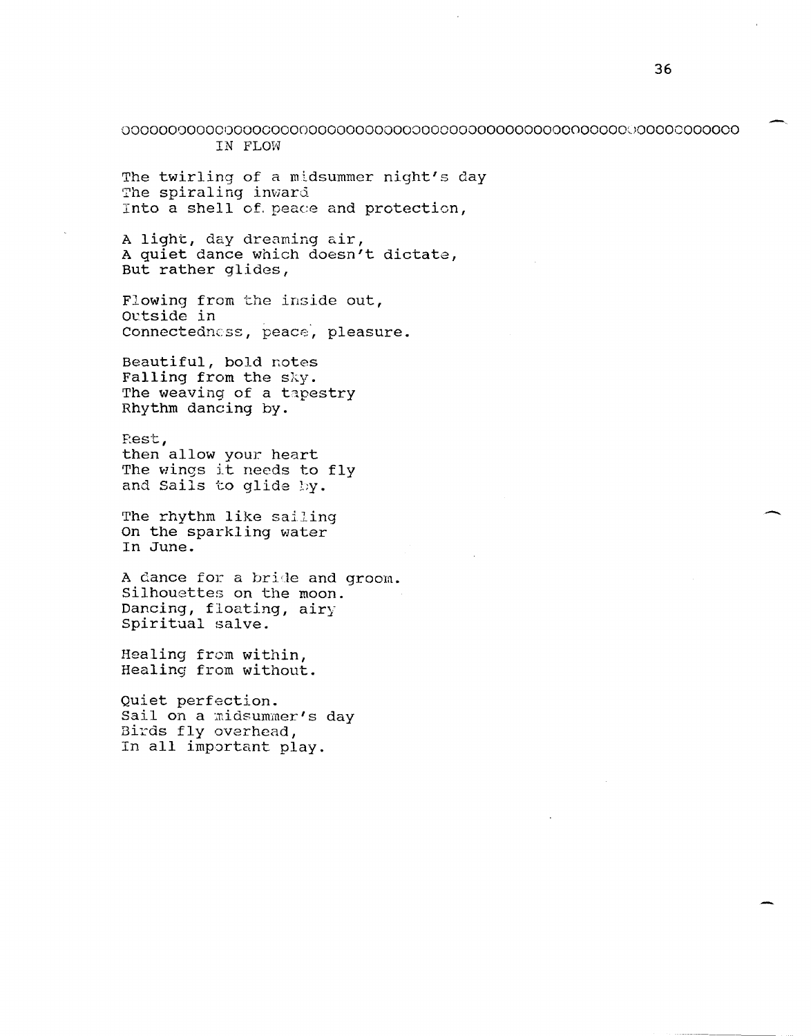000000000000000000000000000000000000000000000000000000lJOOOOOOOOOOO IN FLOW

The twirling of a midsummer night's day The spiraling inward Into a shell of. peace and protection,

<sup>A</sup>light, day dreaming air, A quiet dance which doesn't dictate, But rather glides,

Flowing from the inside out, Outside in Connectedness, peace, pleasure.

Beautiful, bold notes Falling from the sky. The weaving of a tapestry Rhythm dancing by.

Eest, then allow your heart The wings it needs to fly and Sails to glide by.

The rhythm like sailing On the sparkling water In June.

A dance for a bride and groom. Silhouettes on the moon. Dancing, floating, airy Spiritual salve.

Healing from within, Healing from without.

Quiet perfection. Sail on a midsummer's day Birds fly overhead, In all important play.

 $\overline{\phantom{0}}$ 

.-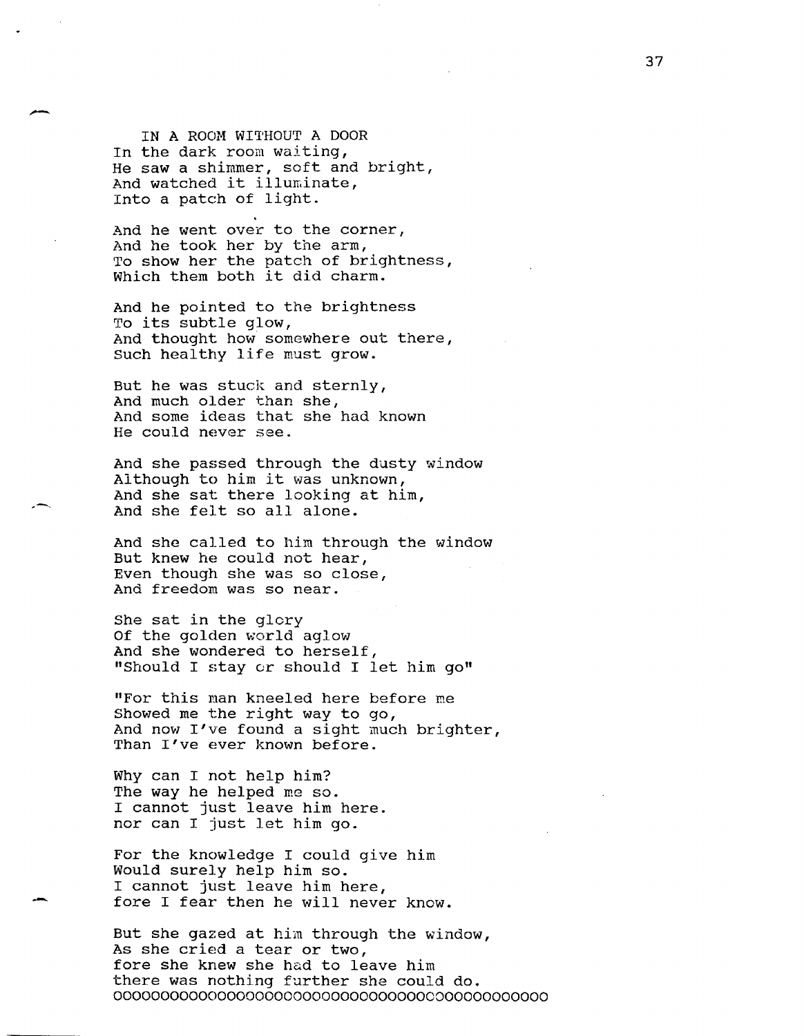IN A ROOM WITHOUT A DOOR In the dark room waiting, He saw a shimmer, soft and bright, And watched it illuminate, Into a patch of light.

-

--

And he went over to the corner, And he took her by the arm, To show her the patch of brightness, which them both it did charm.

And he pointed to the brightness To its subtle glow, And thought how somewhere out there, Such healthy life must grow.

But he was stuck and sternly, And much older than she, And some ideas that she had known He could never see.

And she passed through the dusty window Although to him it was unknown, And she sat there looking at him, And she felt so all alone.

And she called to him through the window But knew he could not hear, Even though she was so close, And freedom was so near.

She sat in the glory Of the golden world aglow And she wondered to herself, "Should I stay or should I let him go"

"For this man kneeled here before me Showed me the right way to go, And now I've found a sight much brighter, Than I've ever known before.

Why can I not help him? The way he helped me so. I cannot just leave him here. nor can I just let him go.

For the knowledge I could give him Would surely help him so. I cannot just leave him here, fore I fear then he will never know.

But she gazed at him through the window, As she cried a tear or two, fore she knew she had to leave him there was nothing further she could do. 0000000000000000000000000000000000000000000000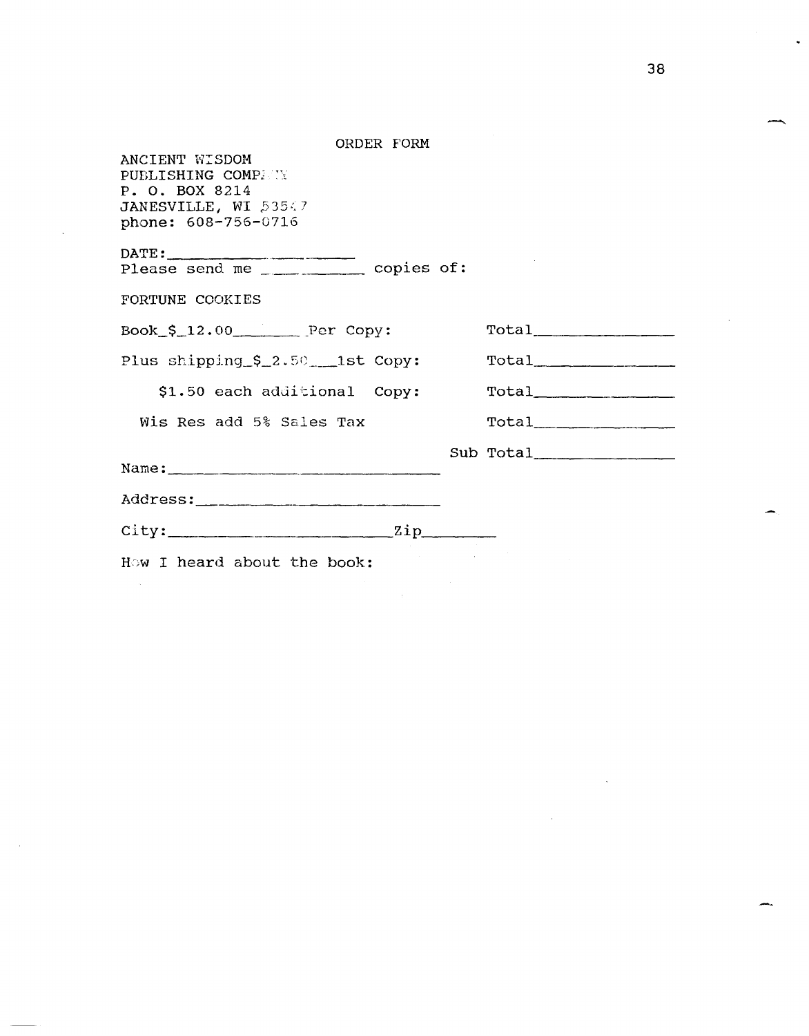| ORDER FORM                                                                                            |           |
|-------------------------------------------------------------------------------------------------------|-----------|
| ANCIENT WISDOM<br>PUBLISHING COMPANY<br>P. O. BOX 8214<br>JANESVILLE, WI 53547<br>phone: 608-756-0716 |           |
|                                                                                                       |           |
|                                                                                                       |           |
| FORTUNE COOKIES                                                                                       |           |
| $Book_5_12.00$ Per Copy:                                                                              | Total     |
| Plus shipping_\$_2.50 ___ 1st Copy:                                                                   |           |
| \$1.50 each additional Copy:                                                                          | Total     |
| Wis Res add 5% Sales Tax                                                                              |           |
|                                                                                                       | Sub Total |
|                                                                                                       |           |
|                                                                                                       |           |
| $city:$ $zip$ $zip$                                                                                   |           |
| How I heard about the book:                                                                           |           |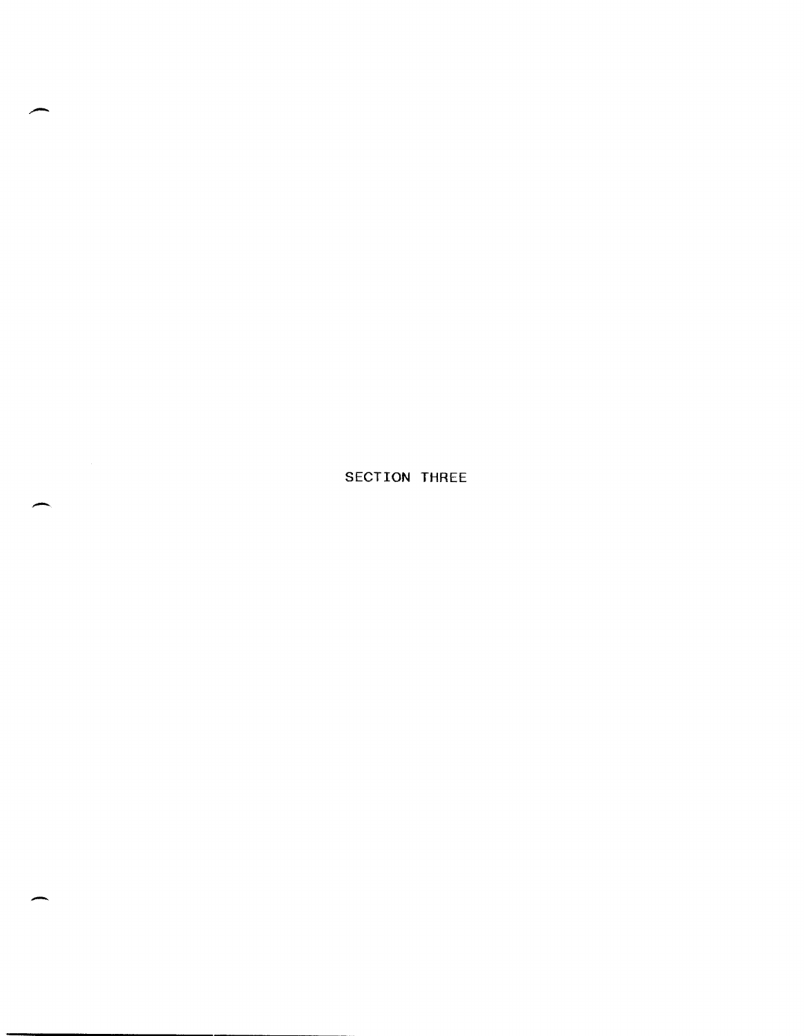SECTION THREE

 $\overline{\phantom{0}}$ 

-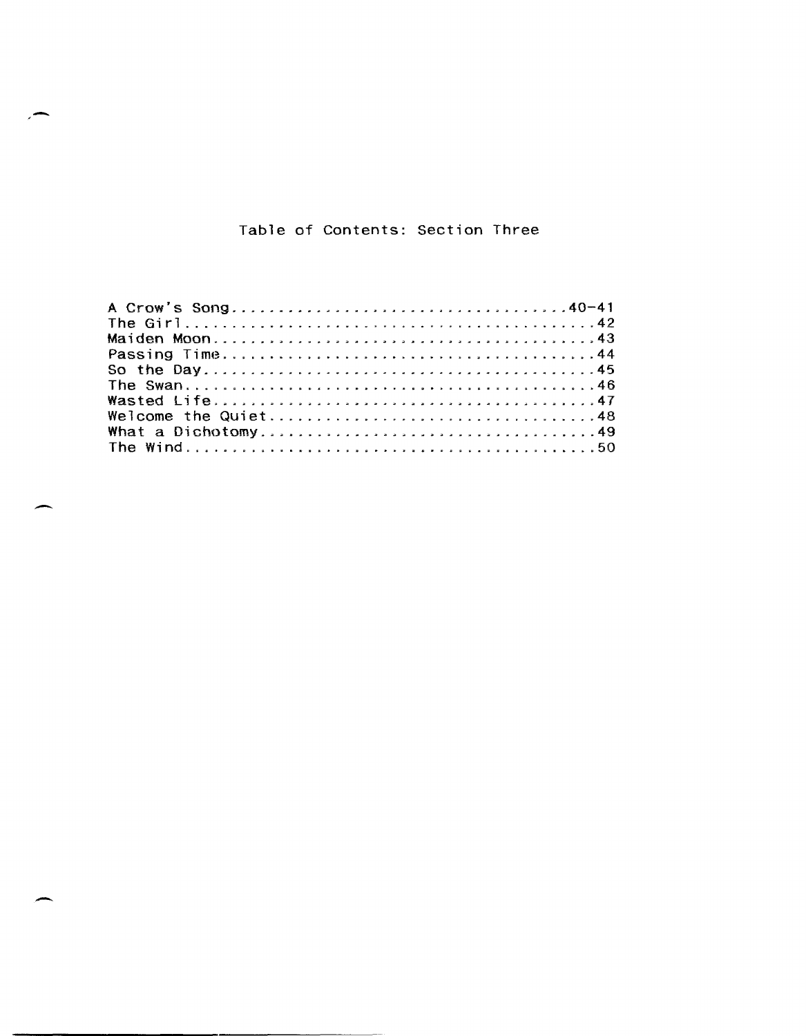# Table of Contents: Section Three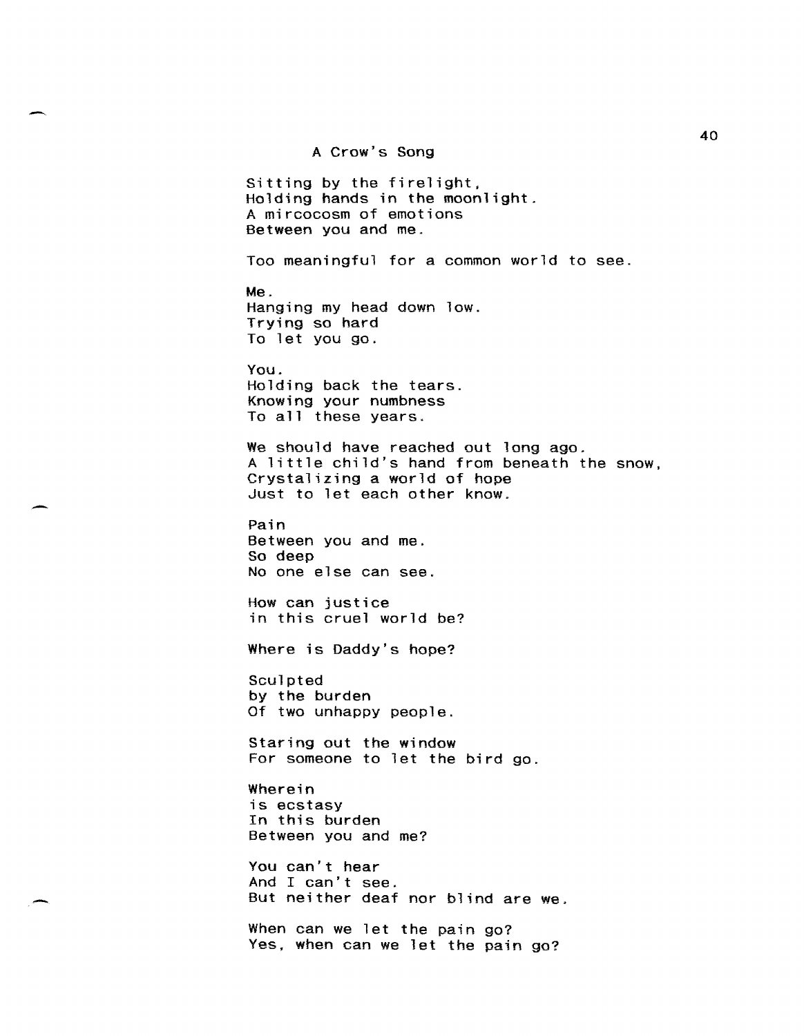A Crow's Song

Sitting by the firelight, Holding hands in the moonlight. A mircocosm of emotions Between you and me.

Too meaningful for a common world to see.

Me. Hanging my head down low. Trying so hard To let you go.

You. Holding back the tears. Knowing your numbness To all these years.

We should have reached out long ago. A little child's hand from beneath the snow, Crystalizing a world of hope Just to let each other know.

Pain Between you and me. So deep No one else can see.

How can justice in this cruel world be?

Where is Daddy's hope?

Sculpted by the burden Of two unhappy people.

Staring out the window For someone to let the bird go.

Wherein is ecstasy In this burden Between you and me?

You can't hear And I can't see. But neither deaf nor blind are we.

When can we let the pain go? Yes, when can we let the pain go?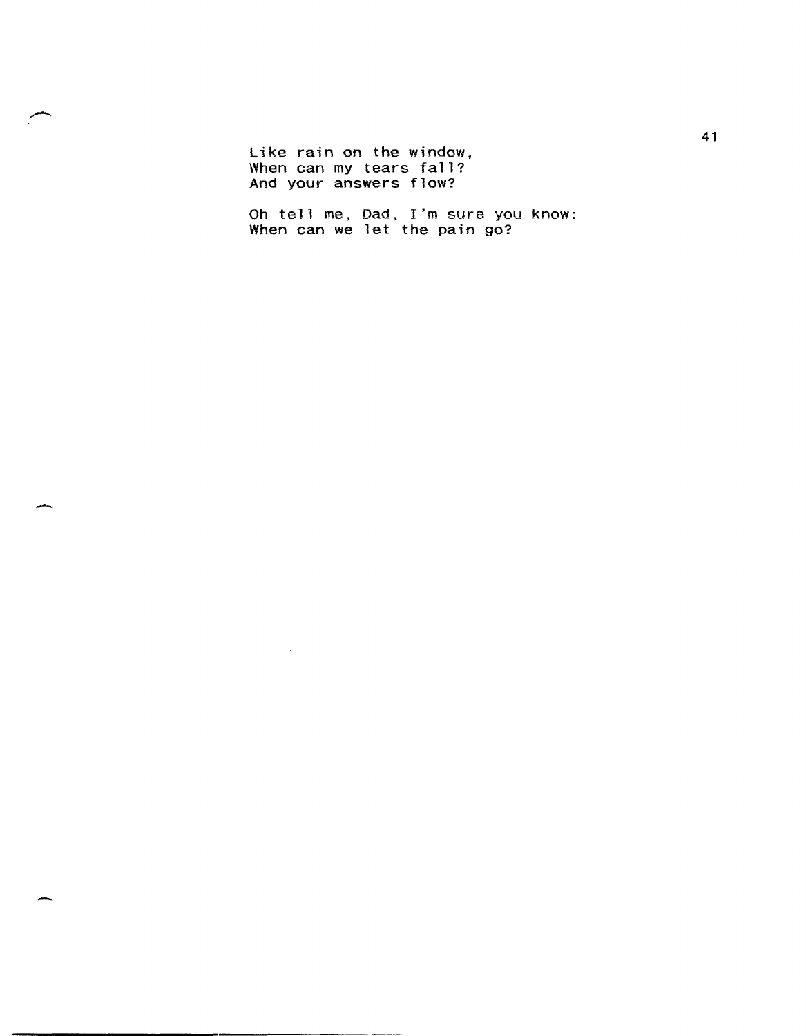Like rain on the window. When can my tears fall? And your answers flow?

Oh tell me, Dad, I'm sure you know: When can we let the pain go?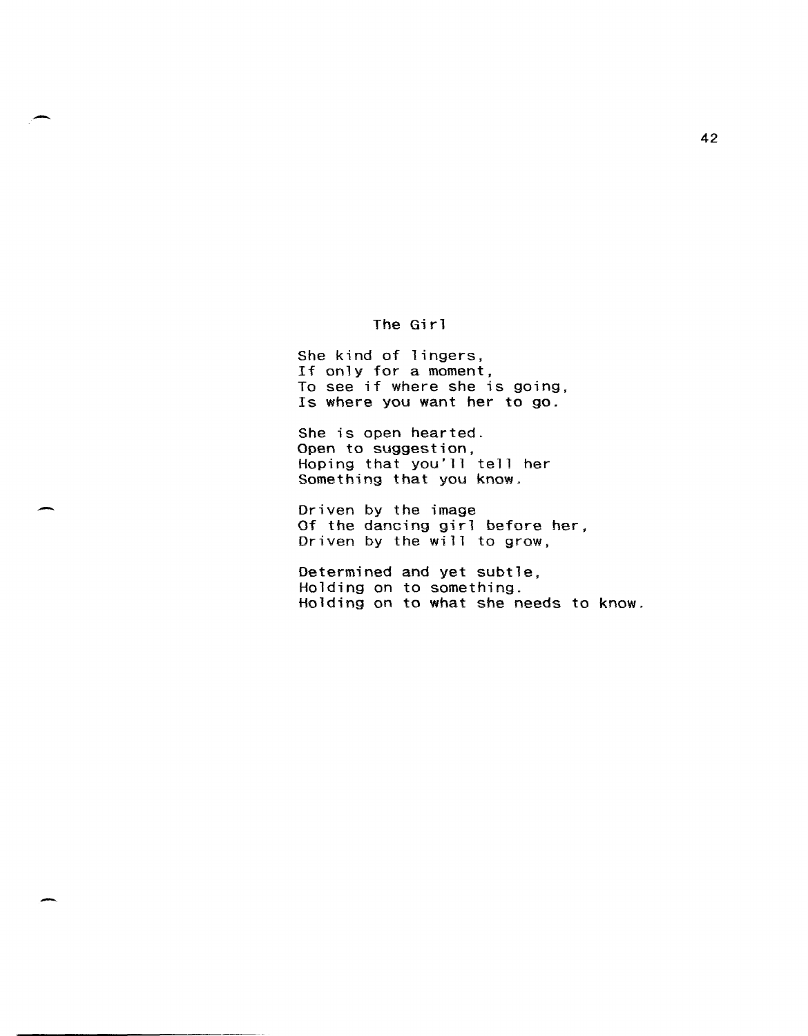## The Girl

She kind of lingers, If only for a moment, To see if where she is going, Is where you want her to go.

She is open hearted. Open to suggestion, Hoping that you'll tell her Something that you know.

Driven by the image Of the dancing girl before her, Driven by the will to grow,

Determined and yet subtle, Holding on to something. Holding on to what she needs to know.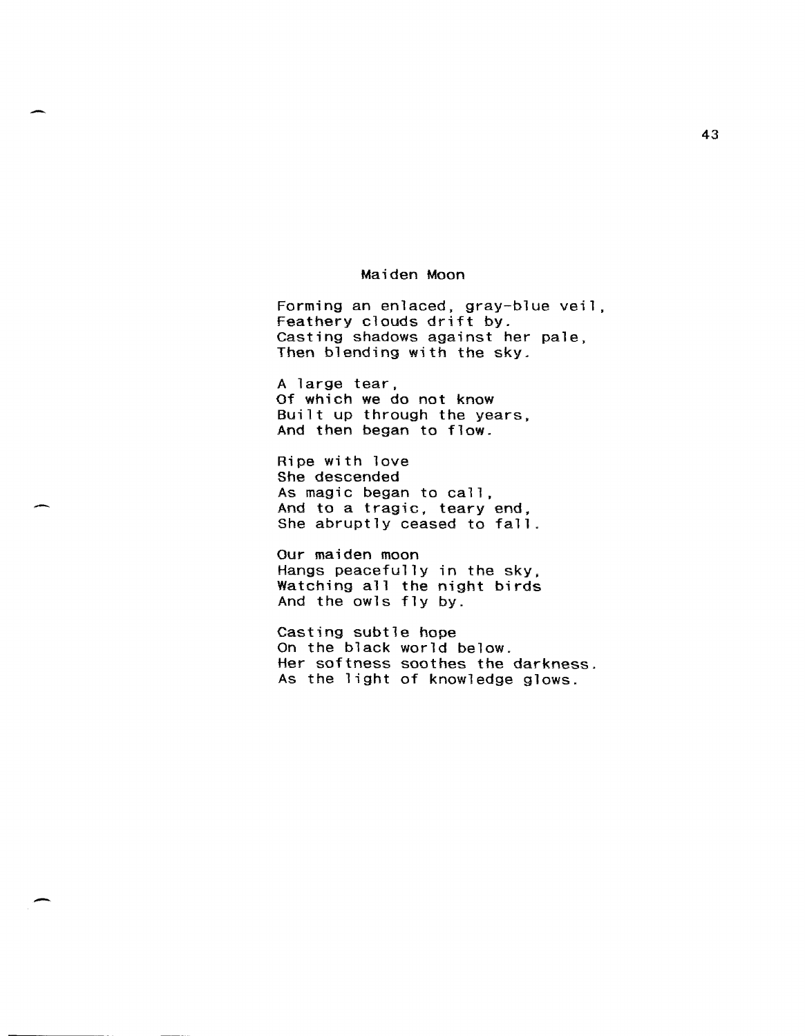### Maiden Moon

-

-

-

Forming an enlaced, gray-blue veil, Feathery clouds drift by. Casting shadows against her pale, Then blending with the sky.

A large tear, Of which we do not know Built up through the years, And then began to flow.

Ripe with love She descended As magic began to call, And to a tragic. teary end. She abruptly ceased to fall.

Our maiden moon Hangs peacefully in the sky. Watching all the night birds And the owls fly by.

Casting subtle hope On the black world below. Her softness soothes the darkness. As the light of knowledge glows.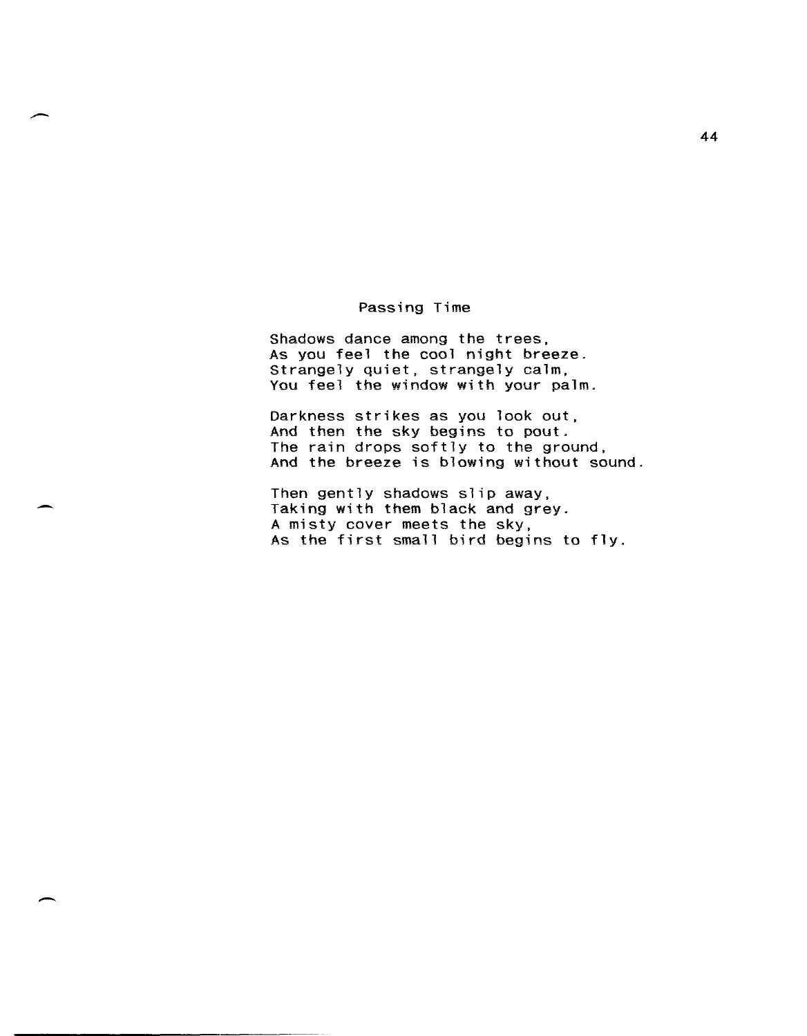### Passing Time

Shadows dance among the trees, As you feel the cool night breeze. Strangely quiet, strangely calm, You feel the window with your palm.

Darkness strikes as you look out, And then the sky begins to pout. The rain drops softly to the ground, And the breeze is blowing without sound.

Then gently shadows slip away, Taking with them black and grey. A misty cover meets the sky. As the first small bird begins to fly.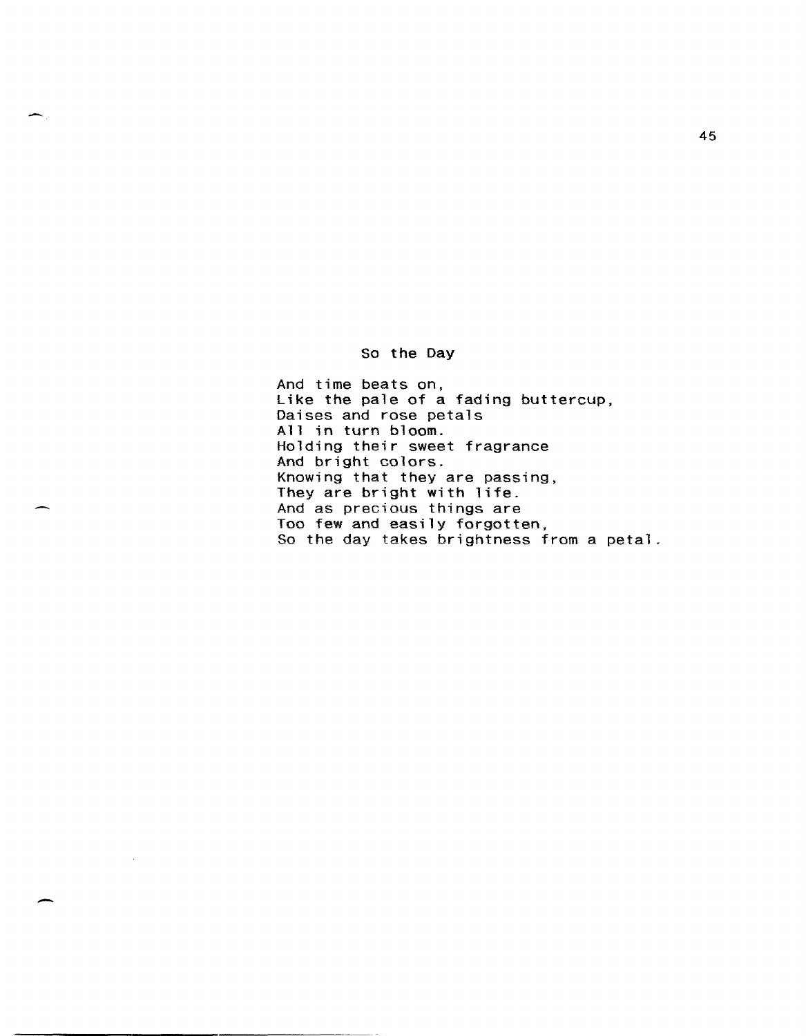So the Day

And time beats on, Like the pale of a fading buttercup, Daises and rose petals All in turn bloom. Holding their sweet fragrance And bright colors. Knowing that they are passing, They are bright with life. And as precious things are Too few and easily forgotten, So the day takes brightness from a petal.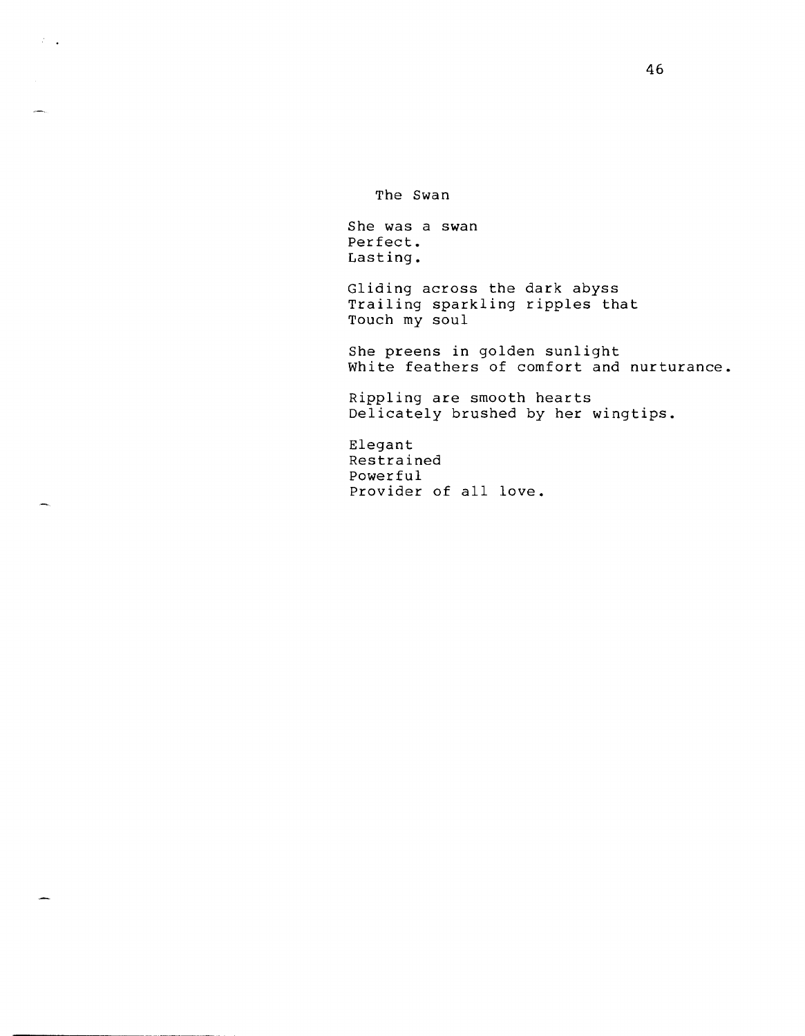The Swan

 $\mathcal{L}=\frac{1}{2}$ 

∽.

She was a swan Perfect. Lasting.

Gliding across the dark abyss Trailing sparkling ripples that Touch my soul

She preens in golden sunlight White feathers of comfort and nurturance.

Rippling are smooth hearts Delicately brushed by her wingtips.

Elegant Restrained Powerful Provider of all love.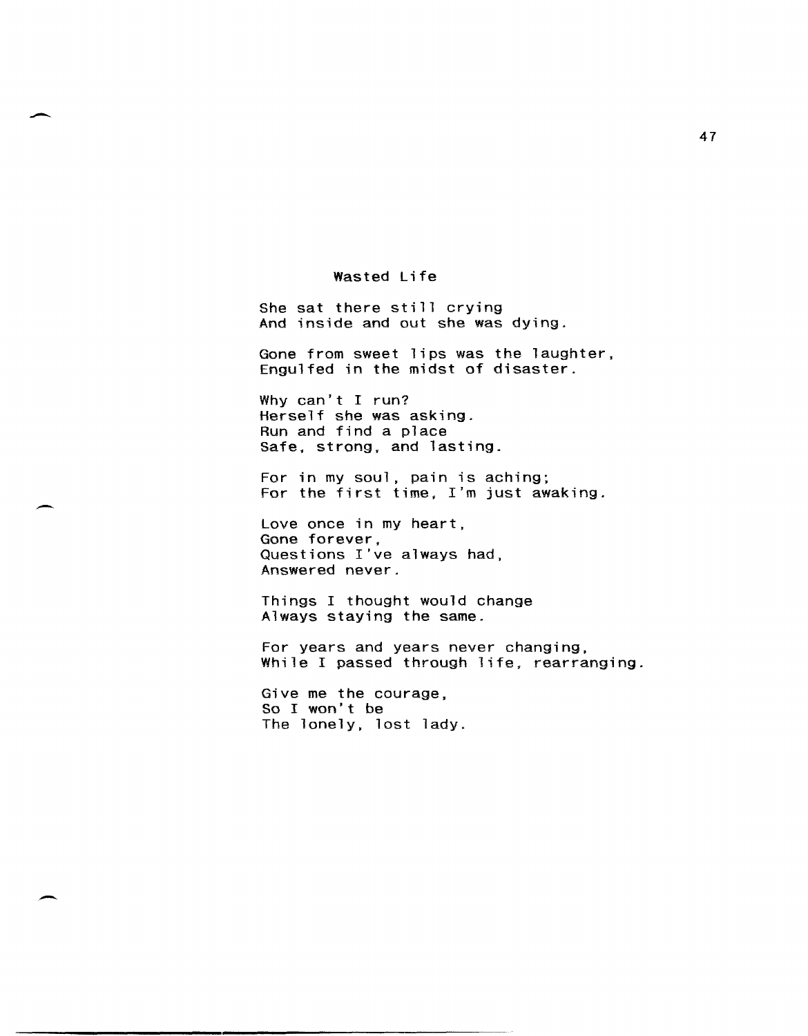Wasted Life

She sat there still crying And inside and out she was dying.

Gone from sweet lips was the laughter, Engulfed in the midst of disaster.

Why can't I run? Herself she was asking. Run and find a place Safe, strong, and lasting.

For in my soul, pain is aching; For the first time, I'm just awaking.

Love once in my heart, Gone forever, Questions I've always had, Answered never.

Things I thought would change Always staying the same.

For years and years never changing, While I passed through life, rearranging.

Give me the courage, So I won't be The lonely, lost lady.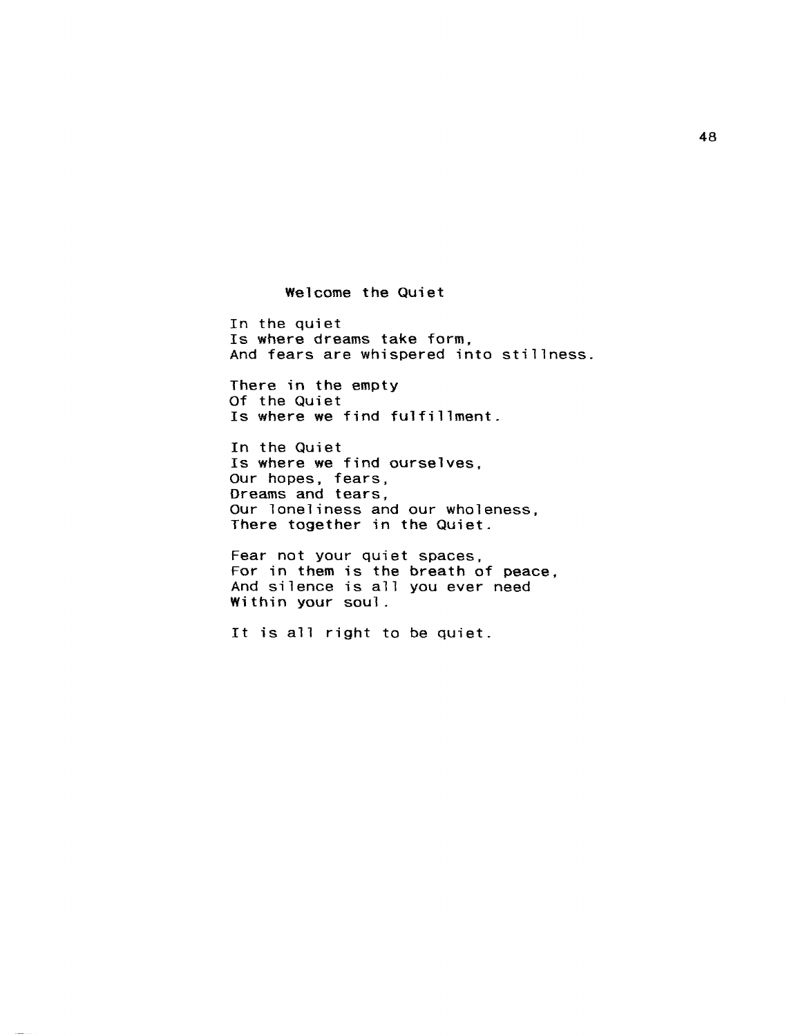Welcome the Quiet

In the quiet Is where dreams take form, And fears are whispered into stillness.

There in the empty Of the Quiet Is where we find fulfillment.

In the Quiet Is where we find ourselves. Our hopes, fears, Dreams and tears. Our loneliness and our wholeness, There together in the Quiet.

Fear not your quiet spaces, For in them is the breath of peace, And silence is all you ever need Within your soul.

It is all right to be quiet.